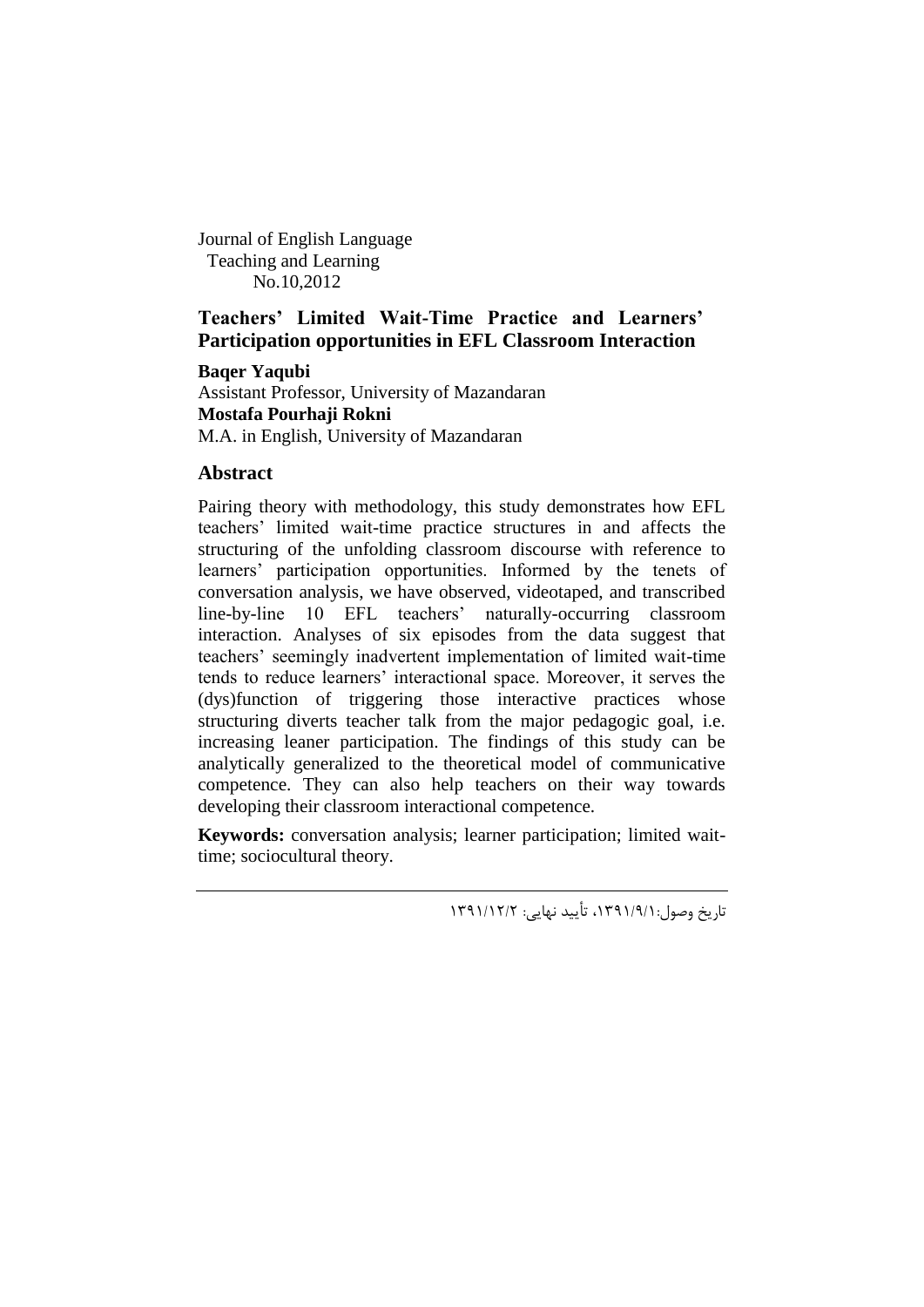Journal of English Language Teaching and Learning No.10,2012

# **Teachers' Limited Wait-Time Practice and Learners' Participation opportunities in EFL Classroom Interaction**

**Baqer Yaqubi** Assistant Professor, University of Mazandaran **Mostafa Pourhaji Rokni** M.A. in English, University of Mazandaran

# **Abstract**

Pairing theory with methodology, this study demonstrates how EFL teachers' limited wait-time practice structures in and affects the structuring of the unfolding classroom discourse with reference to learners' participation opportunities. Informed by the tenets of conversation analysis, we have observed, videotaped, and transcribed line-by-line 10 EFL teachers' naturally-occurring classroom interaction. Analyses of six episodes from the data suggest that teachers' seemingly inadvertent implementation of limited wait-time tends to reduce learners' interactional space. Moreover, it serves the (dys)function of triggering those interactive practices whose structuring diverts teacher talk from the major pedagogic goal, i.e. increasing leaner participation. The findings of this study can be analytically generalized to the theoretical model of communicative competence. They can also help teachers on their way towards developing their classroom interactional competence.

**Keywords:** conversation analysis; learner participation; limited waittime; sociocultural theory.

تاریخ وصول،1991/9/1: تأیید نهایی: 1991/12/2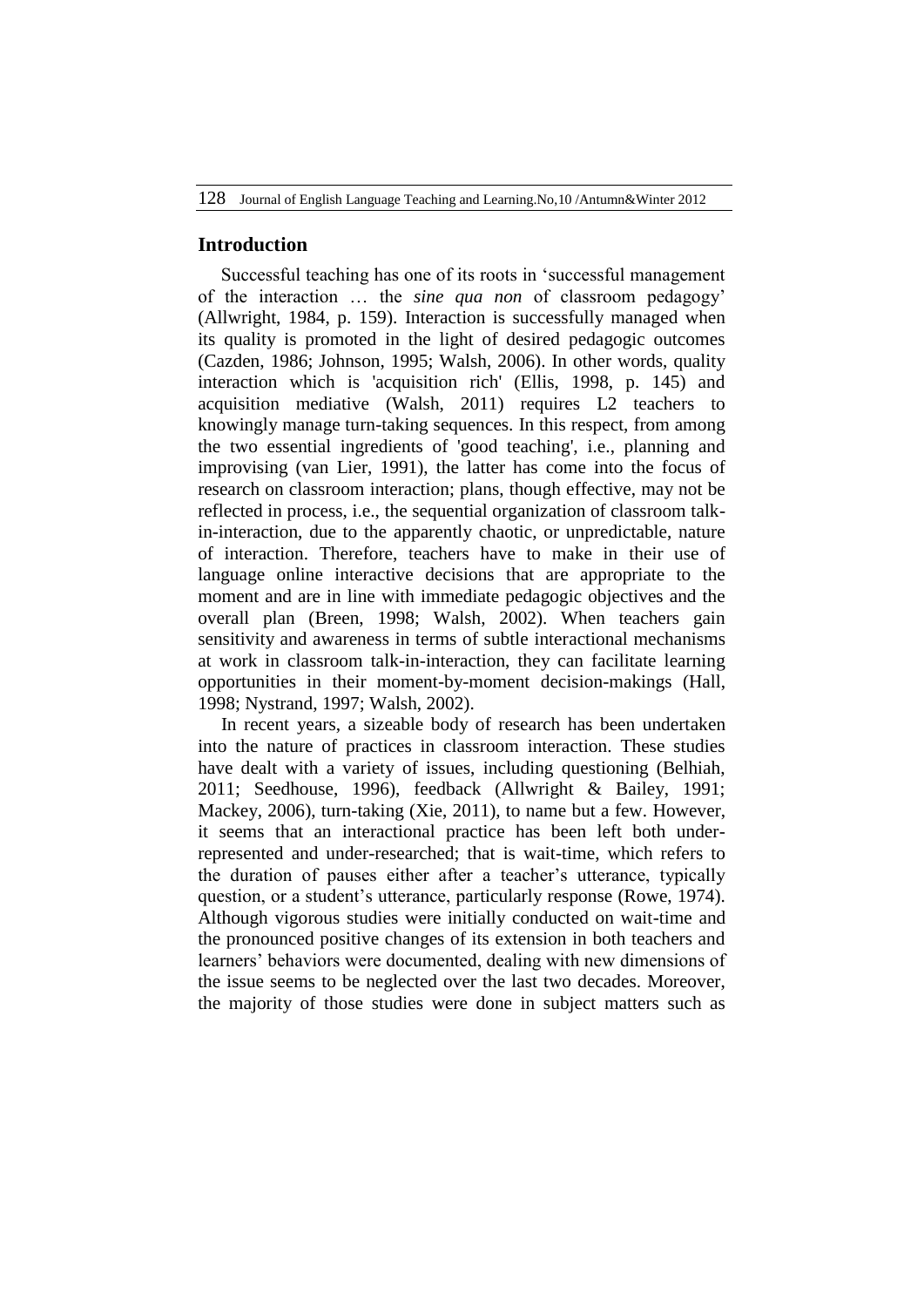128 Journal of English Language Teaching and Learning.No,10 /Antumn&Winter 2012

## **Introduction**

 Successful teaching has one of its roots in 'successful management of the interaction … the *sine qua non* of classroom pedagogy' (Allwright, 1984, p. 159). Interaction is successfully managed when its quality is promoted in the light of desired pedagogic outcomes (Cazden, 1986; Johnson, 1995; Walsh, 2006). In other words, quality interaction which is 'acquisition rich' (Ellis, 1998, p. 145) and acquisition mediative (Walsh, 2011) requires L2 teachers to knowingly manage turn-taking sequences. In this respect, from among the two essential ingredients of 'good teaching', i.e., planning and improvising (van Lier, 1991), the latter has come into the focus of research on classroom interaction; plans, though effective, may not be reflected in process, i.e., the sequential organization of classroom talkin-interaction, due to the apparently chaotic, or unpredictable, nature of interaction. Therefore, teachers have to make in their use of language online interactive decisions that are appropriate to the moment and are in line with immediate pedagogic objectives and the overall plan (Breen, 1998; Walsh, 2002). When teachers gain sensitivity and awareness in terms of subtle interactional mechanisms at work in classroom talk-in-interaction, they can facilitate learning opportunities in their moment-by-moment decision-makings (Hall, 1998; Nystrand, 1997; Walsh, 2002).

 In recent years, a sizeable body of research has been undertaken into the nature of practices in classroom interaction. These studies have dealt with a variety of issues, including questioning (Belhiah, 2011; Seedhouse, 1996), feedback (Allwright & Bailey, 1991; Mackey, 2006), turn-taking (Xie, 2011), to name but a few. However, it seems that an interactional practice has been left both underrepresented and under-researched; that is wait-time, which refers to the duration of pauses either after a teacher's utterance, typically question, or a student's utterance, particularly response (Rowe, 1974). Although vigorous studies were initially conducted on wait-time and the pronounced positive changes of its extension in both teachers and learners' behaviors were documented, dealing with new dimensions of the issue seems to be neglected over the last two decades. Moreover, the majority of those studies were done in subject matters such as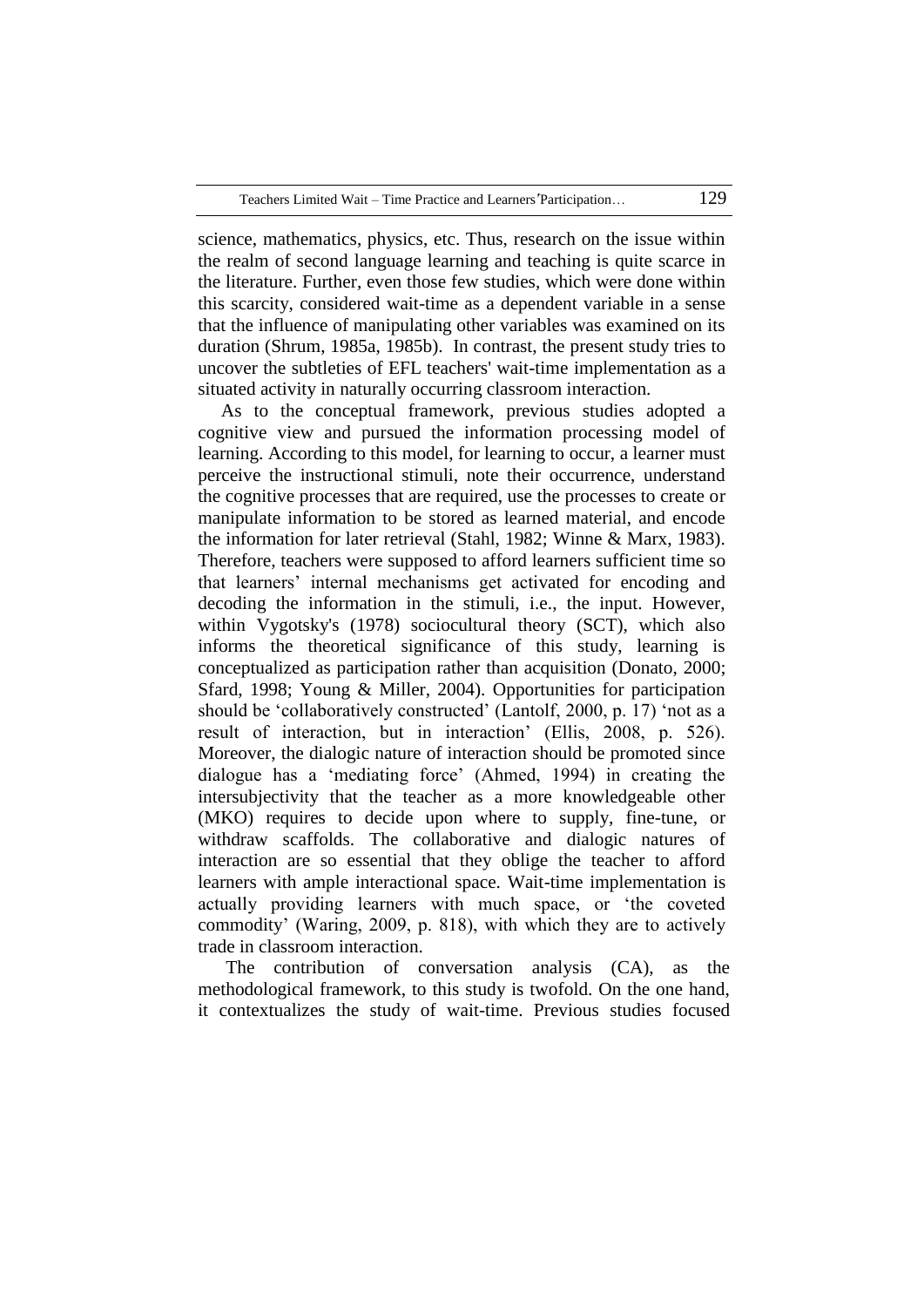science, mathematics, physics, etc. Thus, research on the issue within the realm of second language learning and teaching is quite scarce in the literature. Further, even those few studies, which were done within this scarcity, considered wait-time as a dependent variable in a sense that the influence of manipulating other variables was examined on its duration (Shrum, 1985a, 1985b). In contrast, the present study tries to uncover the subtleties of EFL teachers' wait-time implementation as a situated activity in naturally occurring classroom interaction.

 As to the conceptual framework, previous studies adopted a cognitive view and pursued the information processing model of learning. According to this model, for learning to occur, a learner must perceive the instructional stimuli, note their occurrence, understand the cognitive processes that are required, use the processes to create or manipulate information to be stored as learned material, and encode the information for later retrieval (Stahl, 1982; Winne & Marx, 1983). Therefore, teachers were supposed to afford learners sufficient time so that learners' internal mechanisms get activated for encoding and decoding the information in the stimuli, i.e., the input. However, within Vygotsky's (1978) sociocultural theory (SCT), which also informs the theoretical significance of this study, learning is conceptualized as participation rather than acquisition (Donato, 2000; Sfard, 1998; Young & Miller, 2004). Opportunities for participation should be 'collaboratively constructed' (Lantolf, 2000, p. 17) 'not as a result of interaction, but in interaction' (Ellis, 2008, p. 526). Moreover, the dialogic nature of interaction should be promoted since dialogue has a 'mediating force' (Ahmed, 1994) in creating the intersubjectivity that the teacher as a more knowledgeable other (MKO) requires to decide upon where to supply, fine-tune, or withdraw scaffolds. The collaborative and dialogic natures of interaction are so essential that they oblige the teacher to afford learners with ample interactional space. Wait-time implementation is actually providing learners with much space, or 'the coveted commodity' (Waring, 2009, p. 818), with which they are to actively trade in classroom interaction.

 The contribution of conversation analysis (CA), as the methodological framework, to this study is twofold. On the one hand, it contextualizes the study of wait-time. Previous studies focused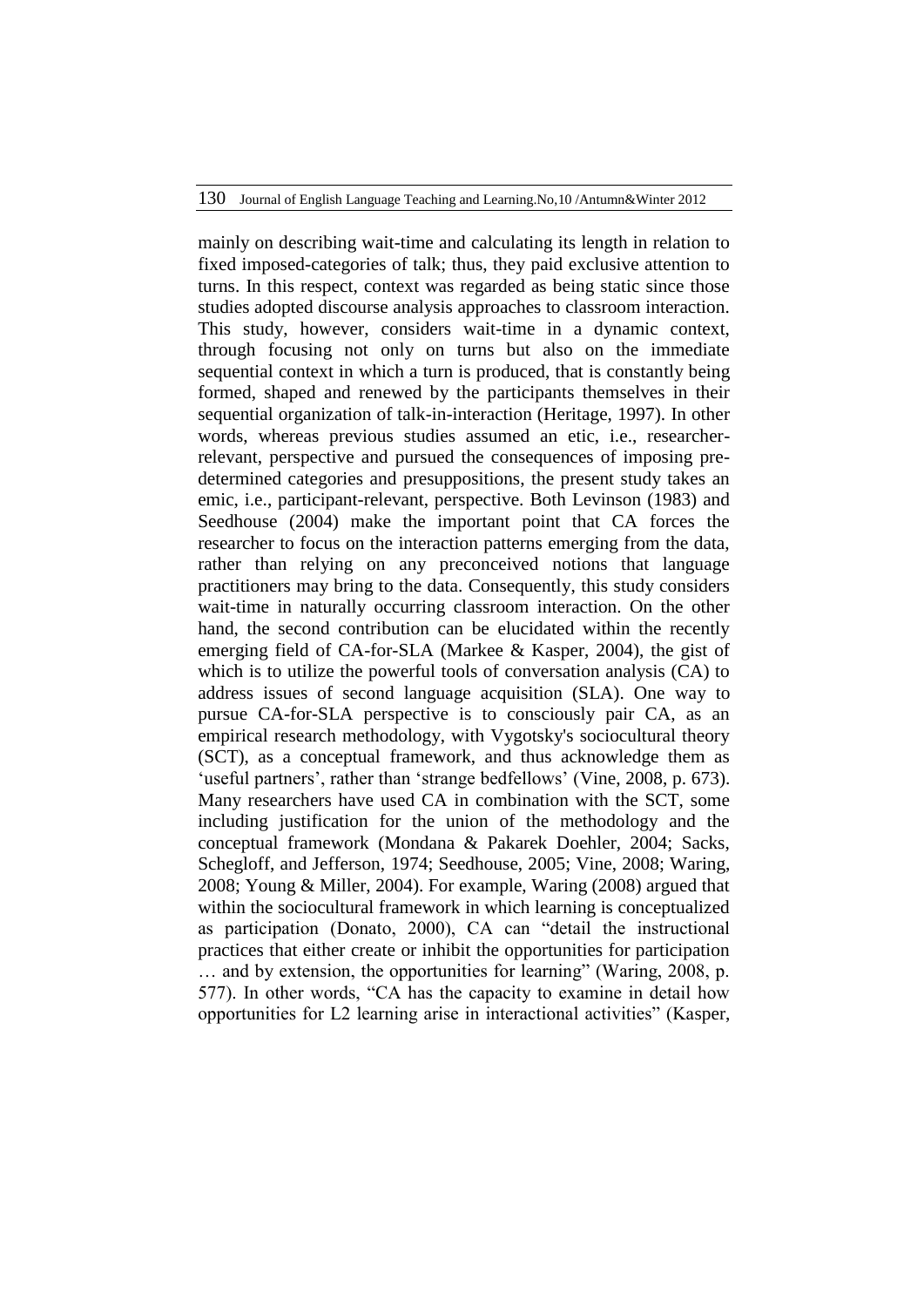mainly on describing wait-time and calculating its length in relation to fixed imposed-categories of talk; thus, they paid exclusive attention to turns. In this respect, context was regarded as being static since those studies adopted discourse analysis approaches to classroom interaction. This study, however, considers wait-time in a dynamic context, through focusing not only on turns but also on the immediate sequential context in which a turn is produced, that is constantly being formed, shaped and renewed by the participants themselves in their sequential organization of talk-in-interaction (Heritage, 1997). In other words, whereas previous studies assumed an etic, i.e., researcherrelevant, perspective and pursued the consequences of imposing predetermined categories and presuppositions, the present study takes an emic, i.e., participant-relevant, perspective. Both Levinson (1983) and Seedhouse (2004) make the important point that CA forces the researcher to focus on the interaction patterns emerging from the data, rather than relying on any preconceived notions that language practitioners may bring to the data. Consequently, this study considers wait-time in naturally occurring classroom interaction. On the other hand, the second contribution can be elucidated within the recently emerging field of CA-for-SLA (Markee & Kasper, 2004), the gist of which is to utilize the powerful tools of conversation analysis (CA) to address issues of second language acquisition (SLA). One way to pursue CA-for-SLA perspective is to consciously pair CA, as an empirical research methodology, with Vygotsky's sociocultural theory (SCT), as a conceptual framework, and thus acknowledge them as 'useful partners', rather than 'strange bedfellows' (Vine, 2008, p. 673). Many researchers have used CA in combination with the SCT, some including justification for the union of the methodology and the conceptual framework (Mondana & Pakarek Doehler, 2004; Sacks, Schegloff, and Jefferson, 1974; Seedhouse, 2005; Vine, 2008; Waring, 2008; Young & Miller, 2004). For example, Waring (2008) argued that within the sociocultural framework in which learning is conceptualized as participation (Donato, 2000), CA can "detail the instructional practices that either create or inhibit the opportunities for participation … and by extension, the opportunities for learning" (Waring, 2008, p. 577). In other words, "CA has the capacity to examine in detail how opportunities for L2 learning arise in interactional activities" (Kasper,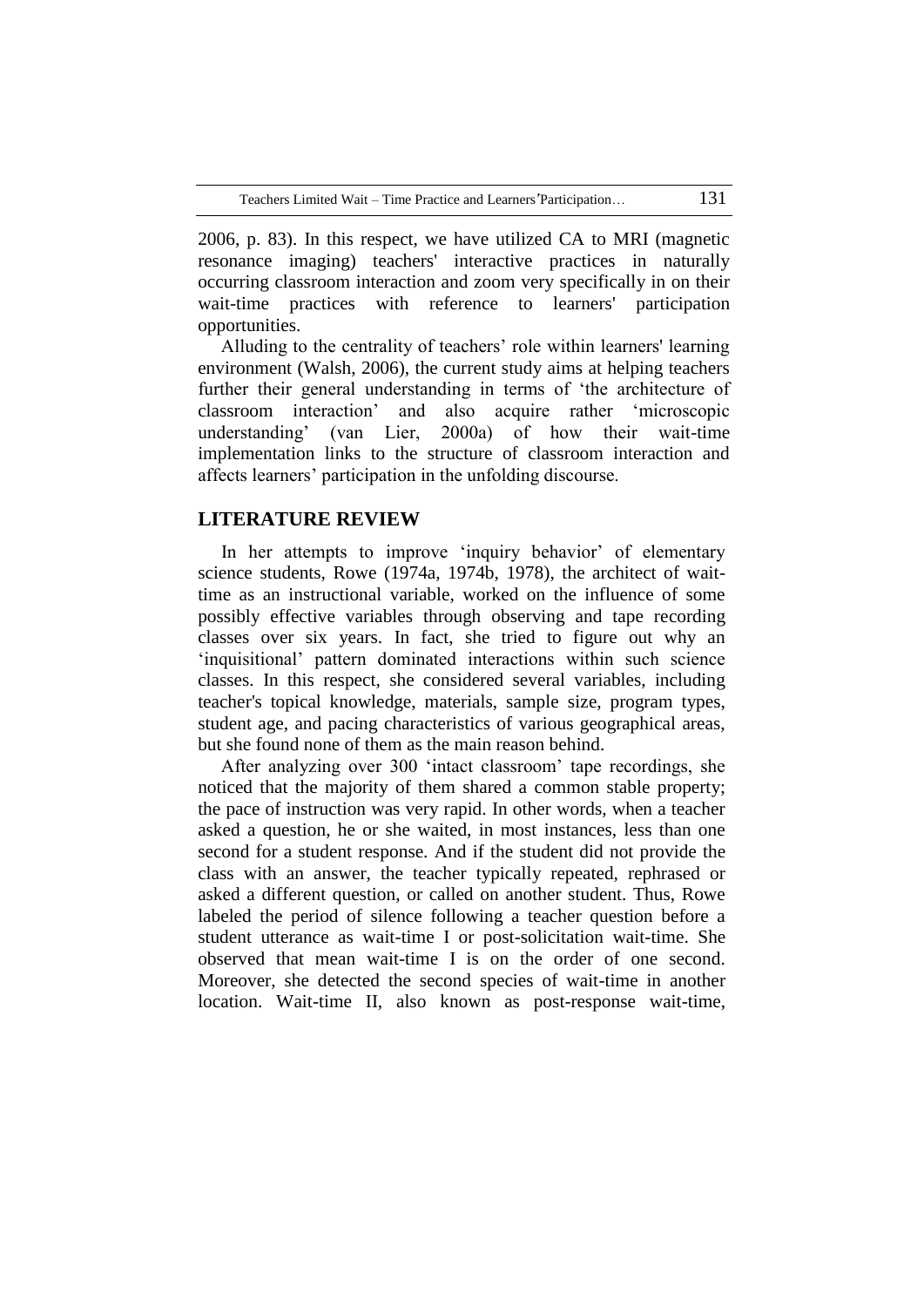2006, p. 83). In this respect, we have utilized CA to MRI (magnetic resonance imaging) teachers' interactive practices in naturally occurring classroom interaction and zoom very specifically in on their wait-time practices with reference to learners' participation opportunities.

 Alluding to the centrality of teachers' role within learners' learning environment (Walsh, 2006), the current study aims at helping teachers further their general understanding in terms of 'the architecture of classroom interaction' and also acquire rather 'microscopic understanding' (van Lier, 2000a) of how their wait-time implementation links to the structure of classroom interaction and affects learners' participation in the unfolding discourse.

## **LITERATURE REVIEW**

 In her attempts to improve 'inquiry behavior' of elementary science students, Rowe (1974a, 1974b, 1978), the architect of waittime as an instructional variable, worked on the influence of some possibly effective variables through observing and tape recording classes over six years. In fact, she tried to figure out why an 'inquisitional' pattern dominated interactions within such science classes. In this respect, she considered several variables, including teacher's topical knowledge, materials, sample size, program types, student age, and pacing characteristics of various geographical areas, but she found none of them as the main reason behind.

 After analyzing over 300 'intact classroom' tape recordings, she noticed that the majority of them shared a common stable property; the pace of instruction was very rapid. In other words, when a teacher asked a question, he or she waited, in most instances, less than one second for a student response. And if the student did not provide the class with an answer, the teacher typically repeated, rephrased or asked a different question, or called on another student. Thus, Rowe labeled the period of silence following a teacher question before a student utterance as wait-time I or post-solicitation wait-time. She observed that mean wait-time I is on the order of one second. Moreover, she detected the second species of wait-time in another location. Wait-time II, also known as post-response wait-time,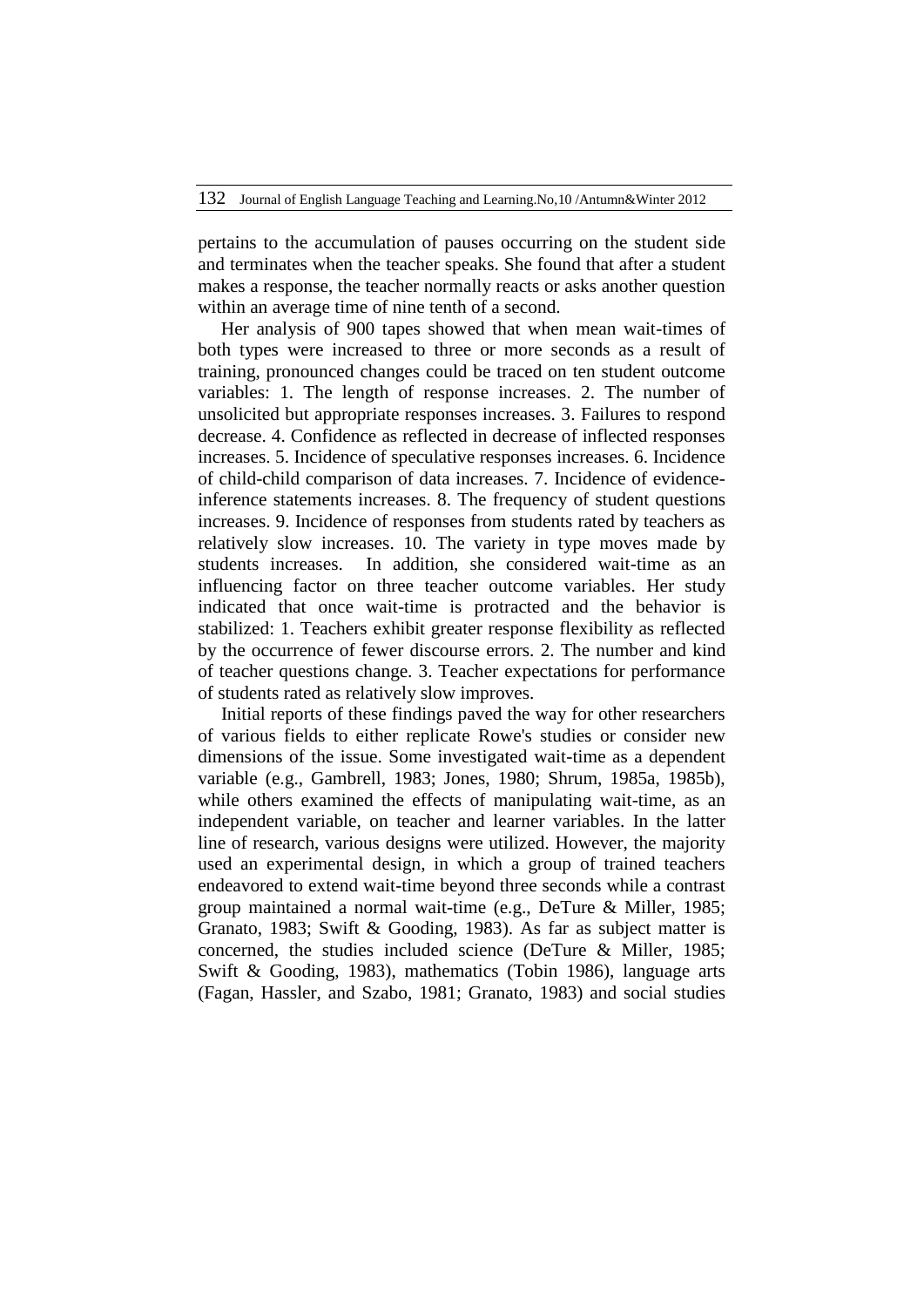pertains to the accumulation of pauses occurring on the student side and terminates when the teacher speaks. She found that after a student makes a response, the teacher normally reacts or asks another question within an average time of nine tenth of a second.

 Her analysis of 900 tapes showed that when mean wait-times of both types were increased to three or more seconds as a result of training, pronounced changes could be traced on ten student outcome variables: 1. The length of response increases. 2. The number of unsolicited but appropriate responses increases. 3. Failures to respond decrease. 4. Confidence as reflected in decrease of inflected responses increases. 5. Incidence of speculative responses increases. 6. Incidence of child-child comparison of data increases. 7. Incidence of evidenceinference statements increases. 8. The frequency of student questions increases. 9. Incidence of responses from students rated by teachers as relatively slow increases. 10. The variety in type moves made by students increases. In addition, she considered wait-time as an influencing factor on three teacher outcome variables. Her study indicated that once wait-time is protracted and the behavior is stabilized: 1. Teachers exhibit greater response flexibility as reflected by the occurrence of fewer discourse errors. 2. The number and kind of teacher questions change. 3. Teacher expectations for performance of students rated as relatively slow improves.

 Initial reports of these findings paved the way for other researchers of various fields to either replicate Rowe's studies or consider new dimensions of the issue. Some investigated wait-time as a dependent variable (e.g., Gambrell, 1983; Jones, 1980; Shrum, 1985a, 1985b), while others examined the effects of manipulating wait-time, as an independent variable, on teacher and learner variables. In the latter line of research, various designs were utilized. However, the majority used an experimental design, in which a group of trained teachers endeavored to extend wait-time beyond three seconds while a contrast group maintained a normal wait-time (e.g., DeTure & Miller, 1985; Granato, 1983; Swift & Gooding, 1983). As far as subject matter is concerned, the studies included science (DeTure & Miller, 1985; Swift & Gooding, 1983), mathematics (Tobin 1986), language arts (Fagan, Hassler, and Szabo, 1981; Granato, 1983) and social studies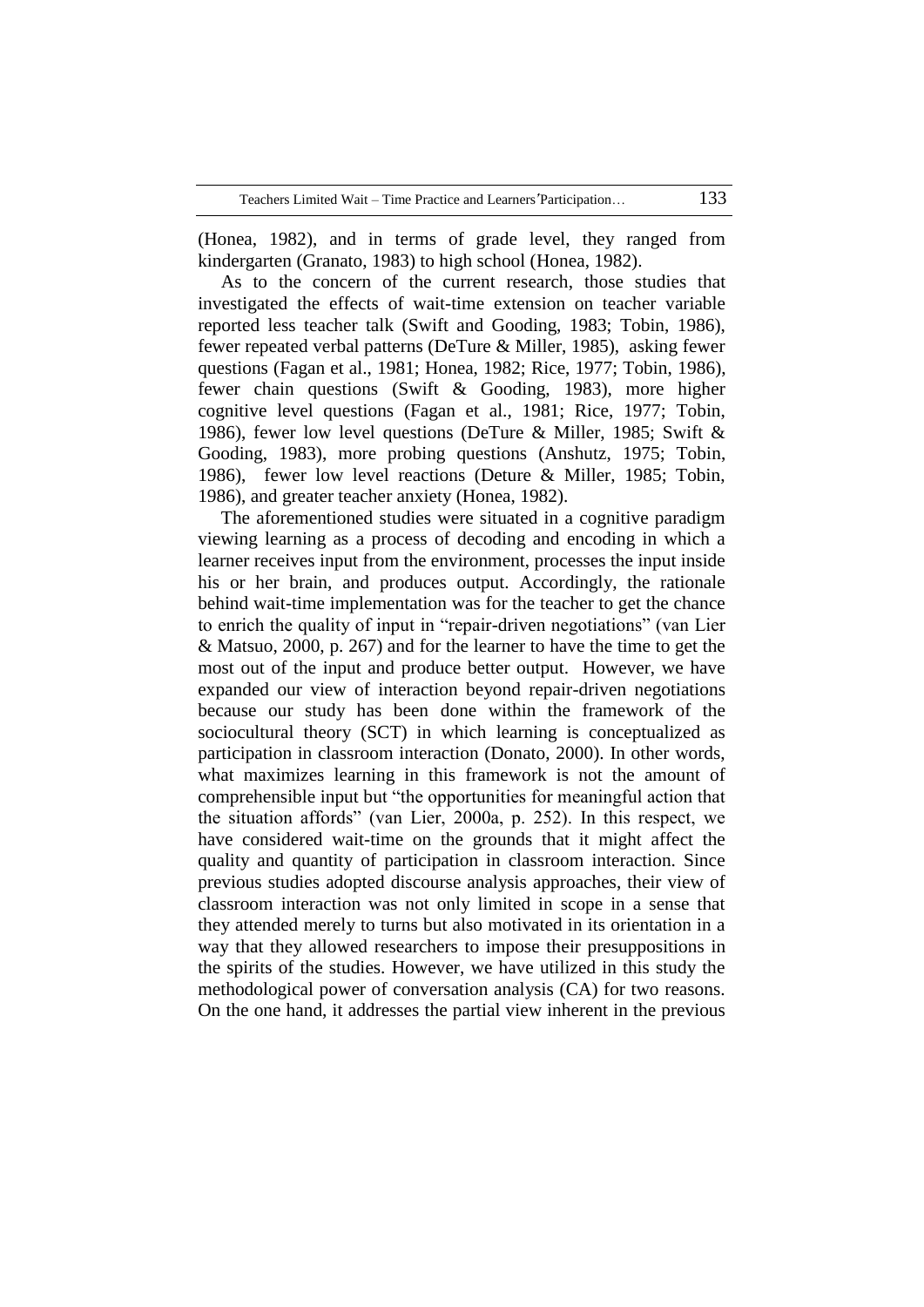(Honea, 1982), and in terms of grade level, they ranged from kindergarten (Granato, 1983) to high school (Honea, 1982).

 As to the concern of the current research, those studies that investigated the effects of wait-time extension on teacher variable reported less teacher talk (Swift and Gooding, 1983; Tobin, 1986), fewer repeated verbal patterns (DeTure & Miller, 1985), asking fewer questions (Fagan et al., 1981; Honea, 1982; Rice, 1977; Tobin, 1986), fewer chain questions (Swift & Gooding, 1983), more higher cognitive level questions (Fagan et al., 1981; Rice, 1977; Tobin, 1986), fewer low level questions (DeTure & Miller, 1985; Swift & Gooding, 1983), more probing questions (Anshutz, 1975; Tobin, 1986), fewer low level reactions (Deture & Miller, 1985; Tobin, 1986), and greater teacher anxiety (Honea, 1982).

 The aforementioned studies were situated in a cognitive paradigm viewing learning as a process of decoding and encoding in which a learner receives input from the environment, processes the input inside his or her brain, and produces output. Accordingly, the rationale behind wait-time implementation was for the teacher to get the chance to enrich the quality of input in "repair-driven negotiations" (van Lier & Matsuo, 2000, p. 267) and for the learner to have the time to get the most out of the input and produce better output. However, we have expanded our view of interaction beyond repair-driven negotiations because our study has been done within the framework of the sociocultural theory (SCT) in which learning is conceptualized as participation in classroom interaction (Donato, 2000). In other words, what maximizes learning in this framework is not the amount of comprehensible input but "the opportunities for meaningful action that the situation affords" (van Lier, 2000a, p. 252). In this respect, we have considered wait-time on the grounds that it might affect the quality and quantity of participation in classroom interaction. Since previous studies adopted discourse analysis approaches, their view of classroom interaction was not only limited in scope in a sense that they attended merely to turns but also motivated in its orientation in a way that they allowed researchers to impose their presuppositions in the spirits of the studies. However, we have utilized in this study the methodological power of conversation analysis (CA) for two reasons. On the one hand, it addresses the partial view inherent in the previous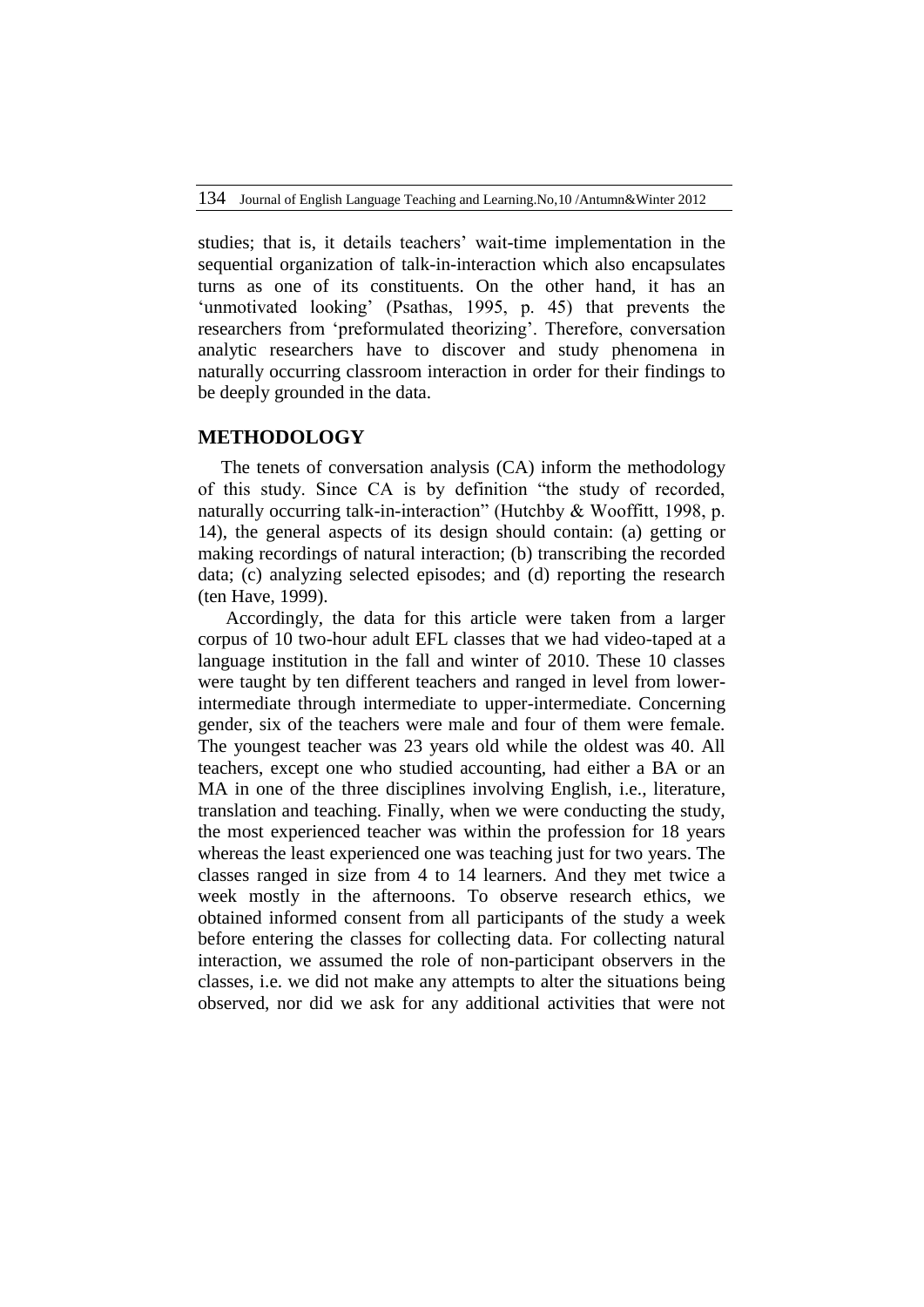studies; that is, it details teachers' wait-time implementation in the sequential organization of talk-in-interaction which also encapsulates turns as one of its constituents. On the other hand, it has an 'unmotivated looking' (Psathas, 1995, p. 45) that prevents the researchers from 'preformulated theorizing'. Therefore, conversation analytic researchers have to discover and study phenomena in naturally occurring classroom interaction in order for their findings to be deeply grounded in the data.

# **METHODOLOGY**

 The tenets of conversation analysis (CA) inform the methodology of this study. Since CA is by definition "the study of recorded, naturally occurring talk-in-interaction" (Hutchby & Wooffitt, 1998, p. 14), the general aspects of its design should contain: (a) getting or making recordings of natural interaction; (b) transcribing the recorded data; (c) analyzing selected episodes; and (d) reporting the research (ten Have, 1999).

 Accordingly, the data for this article were taken from a larger corpus of 10 two-hour adult EFL classes that we had video-taped at a language institution in the fall and winter of 2010. These 10 classes were taught by ten different teachers and ranged in level from lowerintermediate through intermediate to upper-intermediate. Concerning gender, six of the teachers were male and four of them were female. The youngest teacher was 23 years old while the oldest was 40. All teachers, except one who studied accounting, had either a BA or an MA in one of the three disciplines involving English, i.e., literature, translation and teaching. Finally, when we were conducting the study, the most experienced teacher was within the profession for 18 years whereas the least experienced one was teaching just for two years. The classes ranged in size from 4 to 14 learners. And they met twice a week mostly in the afternoons. To observe research ethics, we obtained informed consent from all participants of the study a week before entering the classes for collecting data. For collecting natural interaction, we assumed the role of non-participant observers in the classes, i.e. we did not make any attempts to alter the situations being observed, nor did we ask for any additional activities that were not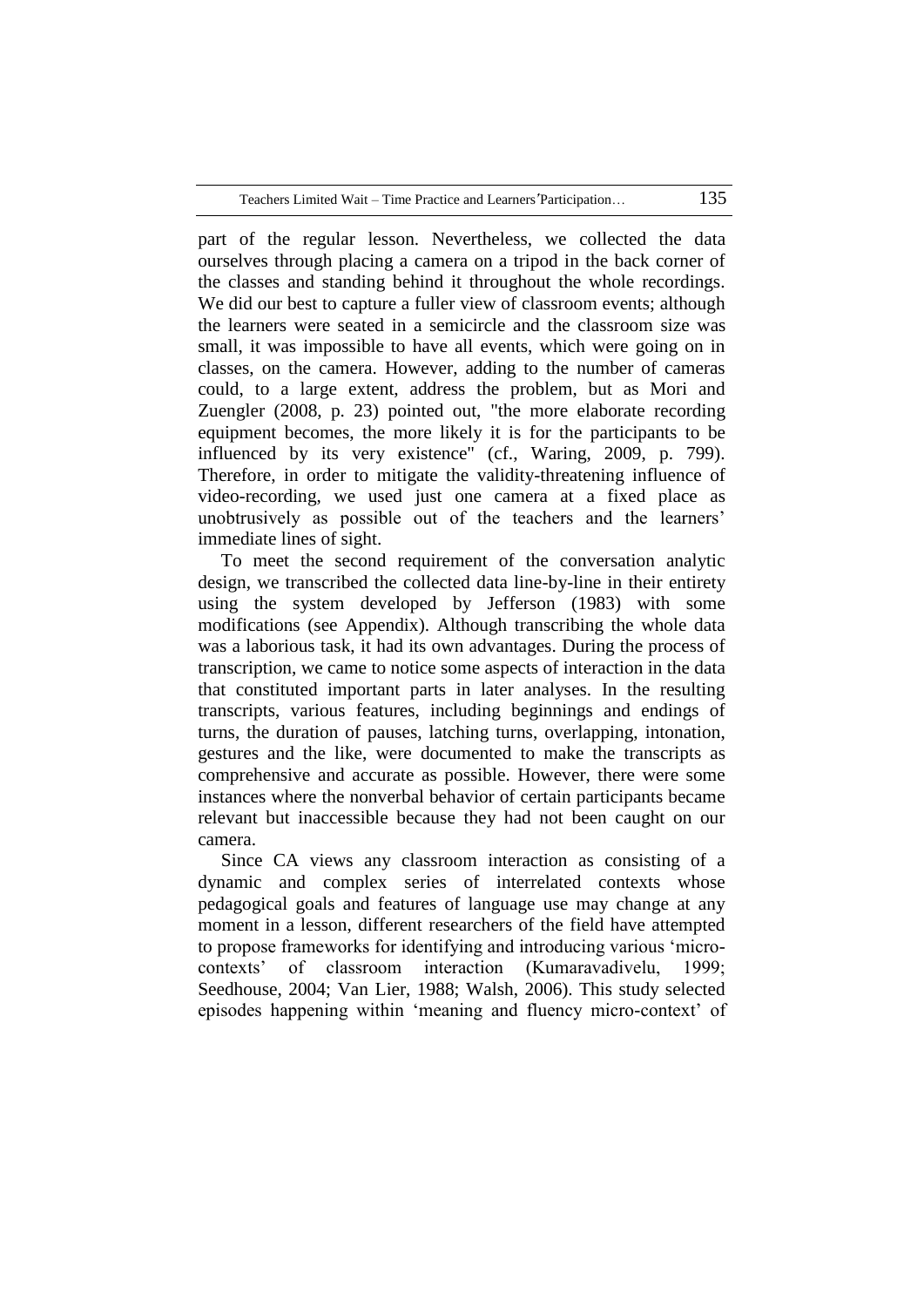part of the regular lesson. Nevertheless, we collected the data ourselves through placing a camera on a tripod in the back corner of the classes and standing behind it throughout the whole recordings. We did our best to capture a fuller view of classroom events; although the learners were seated in a semicircle and the classroom size was small, it was impossible to have all events, which were going on in classes, on the camera. However, adding to the number of cameras could, to a large extent, address the problem, but as Mori and Zuengler (2008, p. 23) pointed out, "the more elaborate recording equipment becomes, the more likely it is for the participants to be influenced by its very existence" (cf., Waring, 2009, p. 799). Therefore, in order to mitigate the validity-threatening influence of video-recording, we used just one camera at a fixed place as unobtrusively as possible out of the teachers and the learners' immediate lines of sight.

 To meet the second requirement of the conversation analytic design, we transcribed the collected data line-by-line in their entirety using the system developed by Jefferson (1983) with some modifications (see Appendix). Although transcribing the whole data was a laborious task, it had its own advantages. During the process of transcription, we came to notice some aspects of interaction in the data that constituted important parts in later analyses. In the resulting transcripts, various features, including beginnings and endings of turns, the duration of pauses, latching turns, overlapping, intonation, gestures and the like, were documented to make the transcripts as comprehensive and accurate as possible. However, there were some instances where the nonverbal behavior of certain participants became relevant but inaccessible because they had not been caught on our camera.

 Since CA views any classroom interaction as consisting of a dynamic and complex series of interrelated contexts whose pedagogical goals and features of language use may change at any moment in a lesson, different researchers of the field have attempted to propose frameworks for identifying and introducing various 'microcontexts' of classroom interaction (Kumaravadivelu, 1999; Seedhouse, 2004; Van Lier, 1988; Walsh, 2006). This study selected episodes happening within 'meaning and fluency micro-context' of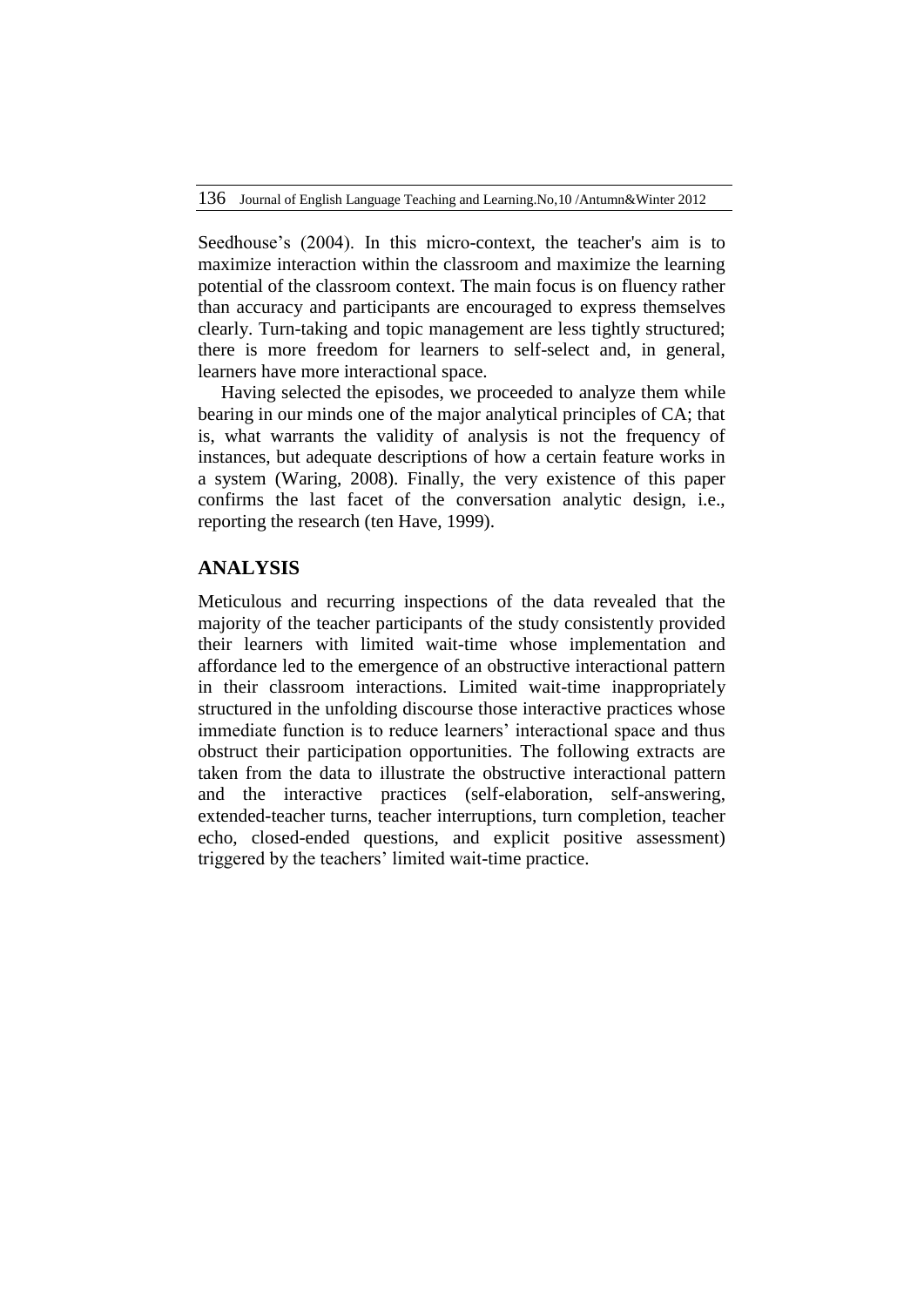136 Journal of English Language Teaching and Learning.No,10 /Antumn&Winter 2012

Seedhouse's (2004). In this micro-context, the teacher's aim is to maximize interaction within the classroom and maximize the learning potential of the classroom context. The main focus is on fluency rather than accuracy and participants are encouraged to express themselves clearly. Turn-taking and topic management are less tightly structured; there is more freedom for learners to self-select and, in general, learners have more interactional space.

 Having selected the episodes, we proceeded to analyze them while bearing in our minds one of the major analytical principles of CA; that is, what warrants the validity of analysis is not the frequency of instances, but adequate descriptions of how a certain feature works in a system (Waring, 2008). Finally, the very existence of this paper confirms the last facet of the conversation analytic design, i.e., reporting the research (ten Have, 1999).

# **ANALYSIS**

Meticulous and recurring inspections of the data revealed that the majority of the teacher participants of the study consistently provided their learners with limited wait-time whose implementation and affordance led to the emergence of an obstructive interactional pattern in their classroom interactions. Limited wait-time inappropriately structured in the unfolding discourse those interactive practices whose immediate function is to reduce learners' interactional space and thus obstruct their participation opportunities. The following extracts are taken from the data to illustrate the obstructive interactional pattern and the interactive practices (self-elaboration, self-answering, extended-teacher turns, teacher interruptions, turn completion, teacher echo, closed-ended questions, and explicit positive assessment) triggered by the teachers' limited wait-time practice.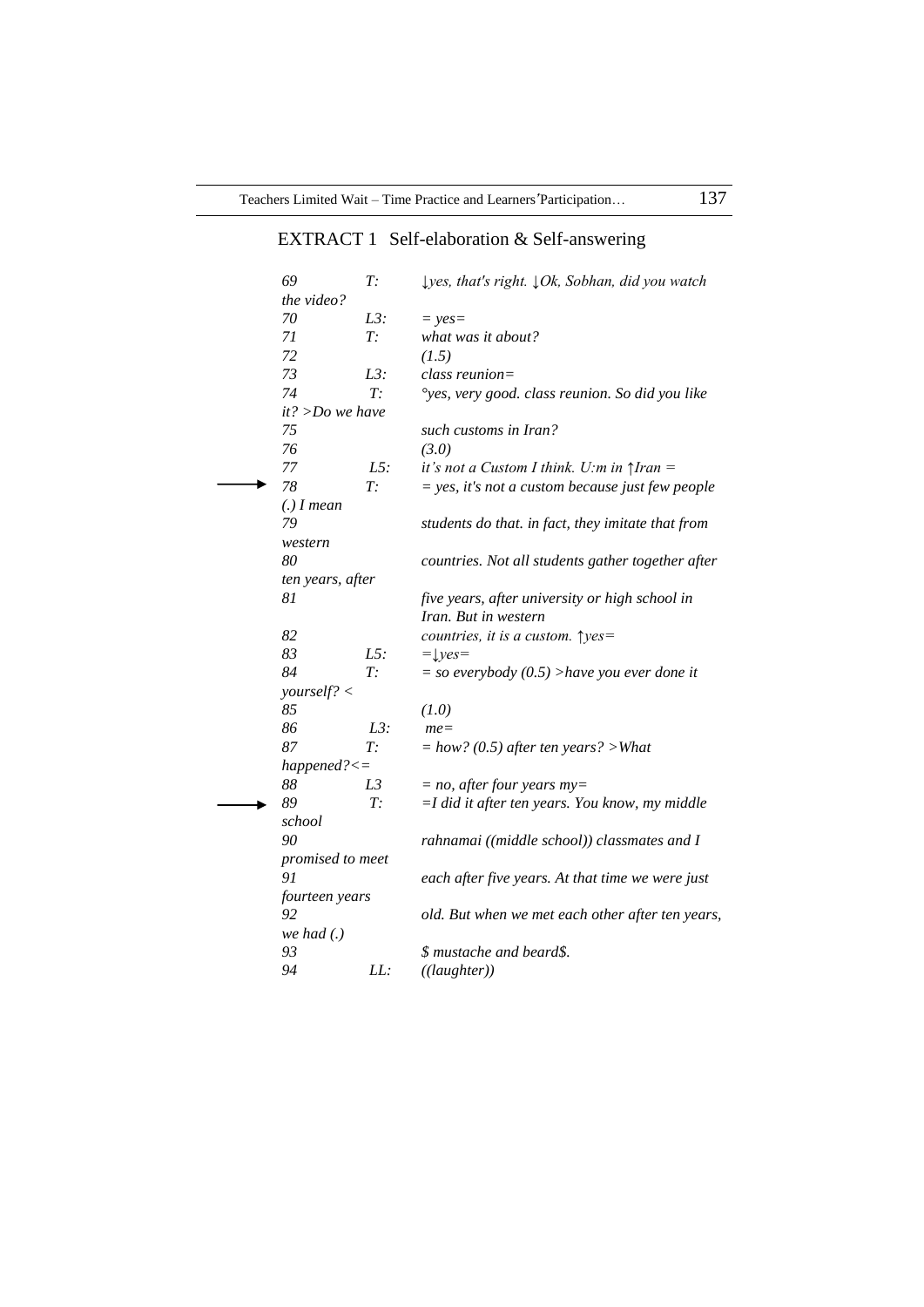# EXTRACT 1 Self-elaboration & Self-answering

| 69                | T:     | $\downarrow$ yes, that's right. $\downarrow$ Ok, Sobhan, did you watch |
|-------------------|--------|------------------------------------------------------------------------|
| the video?        |        |                                                                        |
| 70                | $L3$ : | $= yes =$                                                              |
| 71                | T:     | what was it about?                                                     |
| 72                |        | (1.5)                                                                  |
| 73                | $L3$ : | $class$ reunion=                                                       |
| 74                | T:     | °yes, very good. class reunion. So did you like                        |
| $it?$ >Do we have |        |                                                                        |
| 75                |        | such customs in Iran?                                                  |
| 76                |        | (3.0)                                                                  |
| 77                | $L5$ : | it's not a Custom I think. U:m in $\uparrow$ Iran =                    |
| 78                | T:     | $= yes, it's not a custom because just few people$                     |
| $(.)$ I mean      |        |                                                                        |
| 79                |        | students do that. in fact, they imitate that from                      |
| western           |        |                                                                        |
| 80                |        | countries. Not all students gather together after                      |
| ten years, after  |        |                                                                        |
| 81                |        | five years, after university or high school in                         |
|                   |        | Iran. But in western                                                   |
| 82                |        | countries, it is a custom. $\uparrow$ yes=                             |
| 83                | $L5$ : | $=$ $\downarrow$ <i>yes</i> $=$                                        |
| 84                | T:     | $=$ so everybody (0.5) > have you ever done it                         |
| yourself? <       |        |                                                                        |
| 85                |        | (1.0)                                                                  |
| 86                | $L3$ : | $me=$                                                                  |
| 87                | T:     | $= how? (0.5) after ten years?$ > What                                 |
| $happened? \leq$  |        |                                                                        |
| 88                | L3     | $= no$ , after four years $my =$                                       |
| 89                | T:     | =I did it after ten years. You know, my middle                         |
| school            |        |                                                                        |
| 90                |        | rahnamai ((middle school)) classmates and I                            |
| promised to meet  |        |                                                                        |
| 91                |        | each after five years. At that time we were just                       |
| fourteen years    |        |                                                                        |
| 92                |        | old. But when we met each other after ten years,                       |
| we had $(.)$      |        |                                                                        |
| 93                |        | \$ mustache and beard\$.                                               |
| 94                | LL:    | ((laughter))                                                           |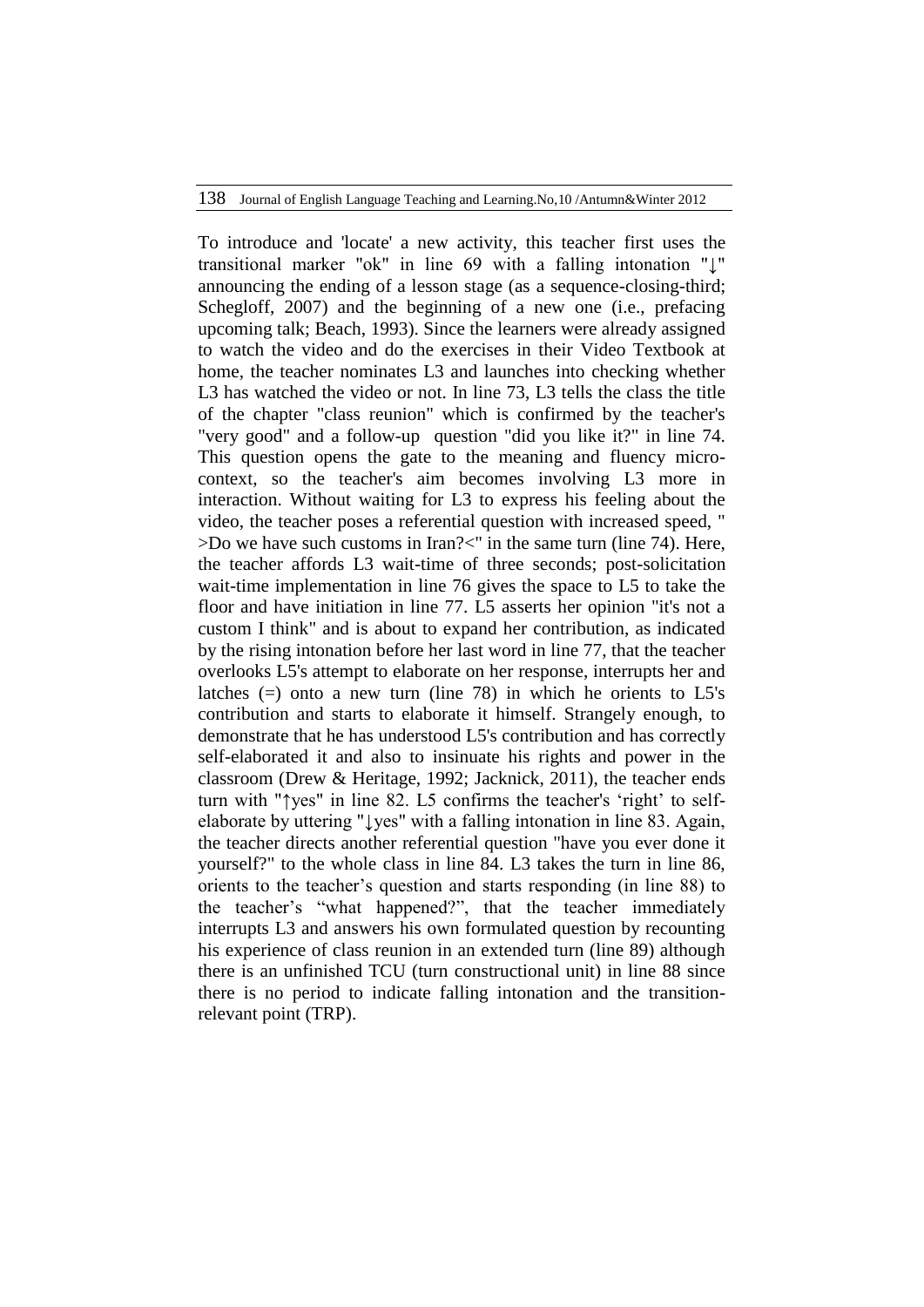To introduce and 'locate' a new activity, this teacher first uses the transitional marker "ok" in line 69 with a falling intonation "↓" announcing the ending of a lesson stage (as a sequence-closing-third; Schegloff, 2007) and the beginning of a new one (i.e., prefacing upcoming talk; Beach, 1993). Since the learners were already assigned to watch the video and do the exercises in their Video Textbook at home, the teacher nominates L3 and launches into checking whether L3 has watched the video or not. In line 73, L3 tells the class the title of the chapter "class reunion" which is confirmed by the teacher's "very good" and a follow-up question "did you like it?" in line 74. This question opens the gate to the meaning and fluency microcontext, so the teacher's aim becomes involving L3 more in interaction. Without waiting for L3 to express his feeling about the video, the teacher poses a referential question with increased speed, " >Do we have such customs in Iran?<" in the same turn (line 74). Here, the teacher affords L3 wait-time of three seconds; post-solicitation wait-time implementation in line 76 gives the space to L5 to take the floor and have initiation in line 77. L5 asserts her opinion "it's not a custom I think" and is about to expand her contribution, as indicated by the rising intonation before her last word in line 77, that the teacher overlooks L5's attempt to elaborate on her response, interrupts her and latches  $(=)$  onto a new turn (line 78) in which he orients to L5's contribution and starts to elaborate it himself. Strangely enough, to demonstrate that he has understood L5's contribution and has correctly self-elaborated it and also to insinuate his rights and power in the classroom (Drew & Heritage, 1992; Jacknick, 2011), the teacher ends turn with "↑yes" in line 82. L5 confirms the teacher's 'right' to selfelaborate by uttering "↓yes" with a falling intonation in line 83. Again, the teacher directs another referential question "have you ever done it yourself?" to the whole class in line 84. L3 takes the turn in line 86, orients to the teacher's question and starts responding (in line 88) to the teacher's "what happened?", that the teacher immediately interrupts L3 and answers his own formulated question by recounting his experience of class reunion in an extended turn (line 89) although there is an unfinished TCU (turn constructional unit) in line 88 since there is no period to indicate falling intonation and the transitionrelevant point (TRP).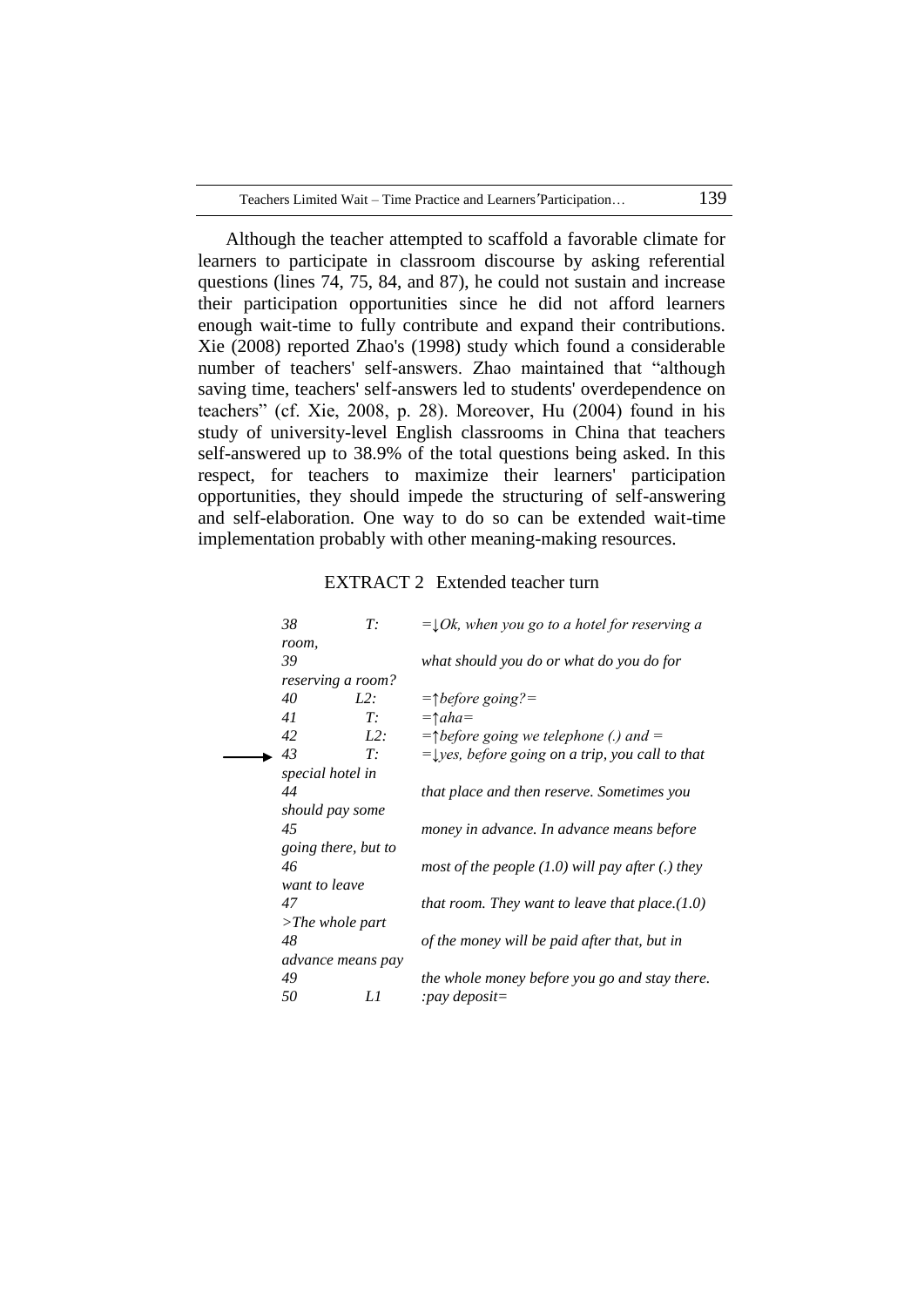Although the teacher attempted to scaffold a favorable climate for learners to participate in classroom discourse by asking referential questions (lines 74, 75, 84, and 87), he could not sustain and increase their participation opportunities since he did not afford learners enough wait-time to fully contribute and expand their contributions. Xie (2008) reported Zhao's (1998) study which found a considerable number of teachers' self-answers. Zhao maintained that "although saving time, teachers' self-answers led to students' overdependence on teachers" (cf. Xie, 2008, p. 28). Moreover, Hu (2004) found in his study of university-level English classrooms in China that teachers self-answered up to 38.9% of the total questions being asked. In this respect, for teachers to maximize their learners' participation opportunities, they should impede the structuring of self-answering and self-elaboration. One way to do so can be extended wait-time implementation probably with other meaning-making resources.

| 38                  | T:     | $=$ $\downarrow$ Ok, when you go to a hotel for reserving a |
|---------------------|--------|-------------------------------------------------------------|
| room,               |        |                                                             |
| 39                  |        | what should you do or what do you do for                    |
| reserving a room?   |        |                                                             |
| 40                  | $L2$ : | $=$ before going? $=$                                       |
| 41                  | T:     | $=$ $\uparrow$ aha $=$                                      |
| 42                  | $L2$ : | $=$ [before going we telephone (.) and $=$                  |
| 43                  | T:     | $=\downarrow$ yes, before going on a trip, you call to that |
| special hotel in    |        |                                                             |
| 44                  |        | that place and then reserve. Sometimes you                  |
| should pay some     |        |                                                             |
| 45                  |        | money in advance. In advance means before                   |
| going there, but to |        |                                                             |
| 46                  |        | most of the people $(1.0)$ will pay after $(.)$ they        |
| want to leave       |        |                                                             |
| 47                  |        | that room. They want to leave that place. $(1.0)$           |
| $>$ The whole part  |        |                                                             |
| 48                  |        | of the money will be paid after that, but in                |
| advance means pay   |        |                                                             |
| 49                  |        | the whole money before you go and stay there.               |
| 50                  | Ll     | : $pay\ deposit =$                                          |

EXTRACT 2 Extended teacher turn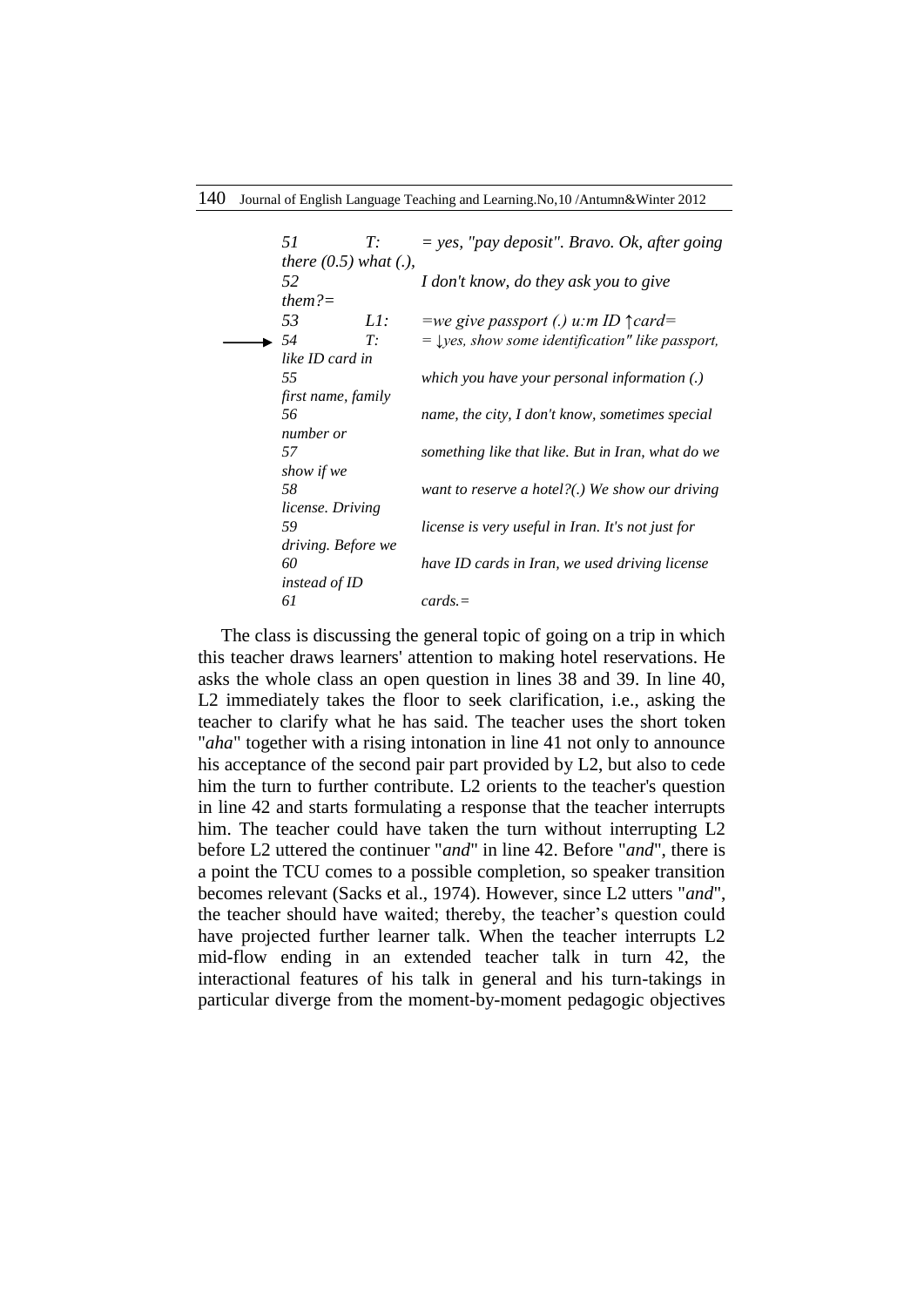| 51                         | T:  | $=$ yes, "pay deposit". Bravo. Ok, after going                 |
|----------------------------|-----|----------------------------------------------------------------|
| there $(0.5)$ what $(.)$ , |     |                                                                |
| 52                         |     | I don't know, do they ask you to give                          |
| them? $=$                  |     |                                                                |
| 53                         | LI: | =we give passport (.) $u$ :m ID $\uparrow$ card=               |
| 54                         | T:  | $=$ $\downarrow$ yes, show some identification" like passport, |
| like ID card in            |     |                                                                |
| 55                         |     | which you have your personal information (.)                   |
| first name, family         |     |                                                                |
| 56                         |     | name, the city, I don't know, sometimes special                |
| number or                  |     |                                                                |
| 57                         |     | something like that like. But in Iran, what do we              |
| show if we                 |     |                                                                |
| 58                         |     | want to reserve a hotel?(.) We show our driving                |
| license. Driving           |     |                                                                |
| 59                         |     | license is very useful in Iran. It's not just for              |
| driving. Before we         |     |                                                                |
| 60                         |     | have ID cards in Iran, we used driving license                 |
| instead of ID              |     |                                                                |
| 61                         |     | $cards. =$                                                     |

 The class is discussing the general topic of going on a trip in which this teacher draws learners' attention to making hotel reservations. He asks the whole class an open question in lines 38 and 39. In line 40, L2 immediately takes the floor to seek clarification, i.e., asking the teacher to clarify what he has said. The teacher uses the short token "*aha*" together with a rising intonation in line 41 not only to announce his acceptance of the second pair part provided by L2, but also to cede him the turn to further contribute. L2 orients to the teacher's question in line 42 and starts formulating a response that the teacher interrupts him. The teacher could have taken the turn without interrupting L2 before L2 uttered the continuer "*and*" in line 42. Before "*and*", there is a point the TCU comes to a possible completion, so speaker transition becomes relevant (Sacks et al., 1974). However, since L2 utters "*and*", the teacher should have waited; thereby, the teacher's question could have projected further learner talk. When the teacher interrupts L2 mid-flow ending in an extended teacher talk in turn 42, the interactional features of his talk in general and his turn-takings in particular diverge from the moment-by-moment pedagogic objectives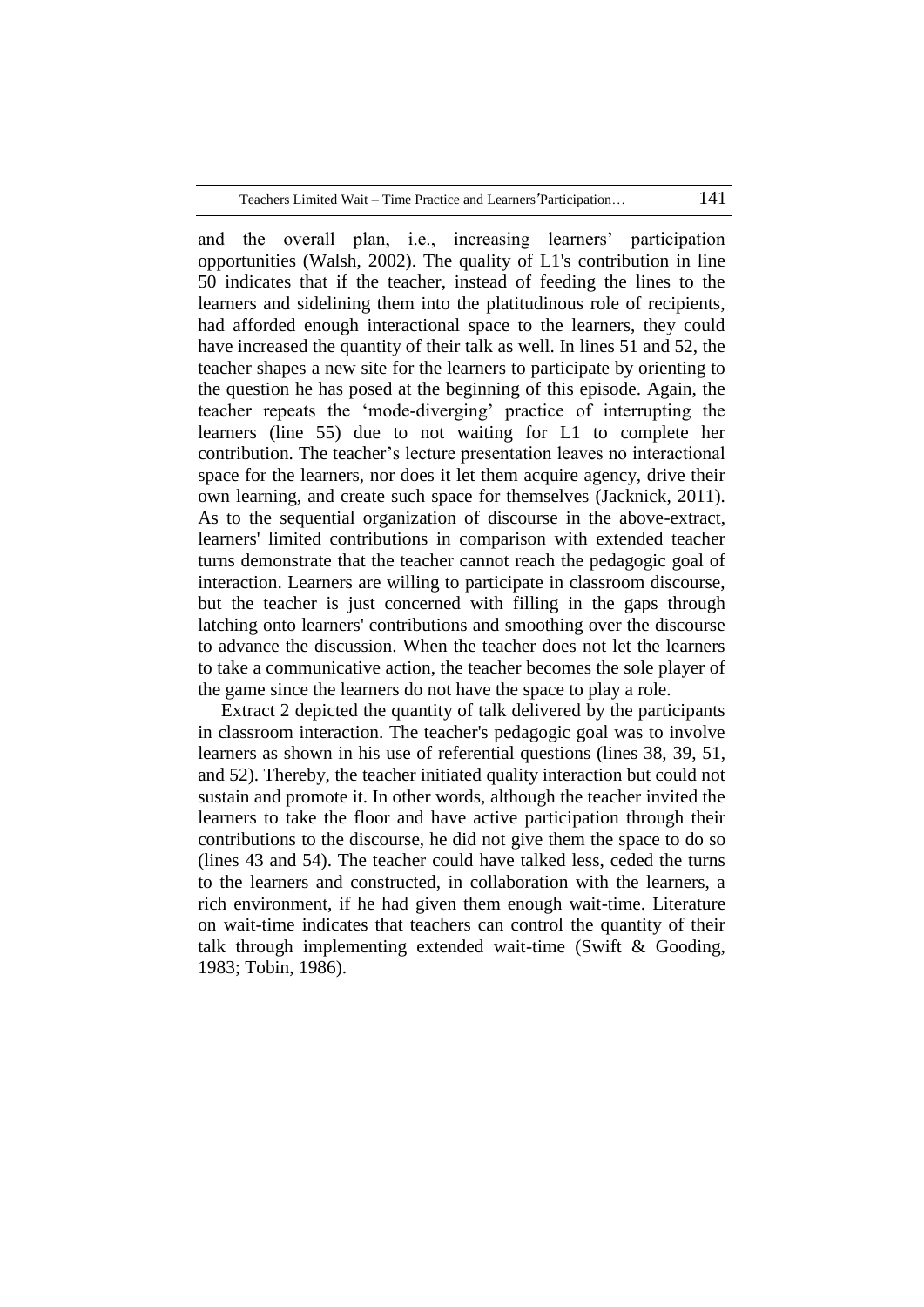Teachers Limited Wait – Time Practice and Learners'Participation… 141

and the overall plan, i.e., increasing learners' participation opportunities (Walsh, 2002). The quality of L1's contribution in line 50 indicates that if the teacher, instead of feeding the lines to the learners and sidelining them into the platitudinous role of recipients, had afforded enough interactional space to the learners, they could have increased the quantity of their talk as well. In lines 51 and 52, the teacher shapes a new site for the learners to participate by orienting to the question he has posed at the beginning of this episode. Again, the teacher repeats the 'mode-diverging' practice of interrupting the learners (line 55) due to not waiting for L1 to complete her contribution. The teacher's lecture presentation leaves no interactional space for the learners, nor does it let them acquire agency, drive their own learning, and create such space for themselves (Jacknick, 2011). As to the sequential organization of discourse in the above-extract, learners' limited contributions in comparison with extended teacher turns demonstrate that the teacher cannot reach the pedagogic goal of interaction. Learners are willing to participate in classroom discourse, but the teacher is just concerned with filling in the gaps through latching onto learners' contributions and smoothing over the discourse to advance the discussion. When the teacher does not let the learners to take a communicative action, the teacher becomes the sole player of the game since the learners do not have the space to play a role.

 Extract 2 depicted the quantity of talk delivered by the participants in classroom interaction. The teacher's pedagogic goal was to involve learners as shown in his use of referential questions (lines 38, 39, 51, and 52). Thereby, the teacher initiated quality interaction but could not sustain and promote it. In other words, although the teacher invited the learners to take the floor and have active participation through their contributions to the discourse, he did not give them the space to do so (lines 43 and 54). The teacher could have talked less, ceded the turns to the learners and constructed, in collaboration with the learners, a rich environment, if he had given them enough wait-time. Literature on wait-time indicates that teachers can control the quantity of their talk through implementing extended wait-time (Swift & Gooding, 1983; Tobin, 1986).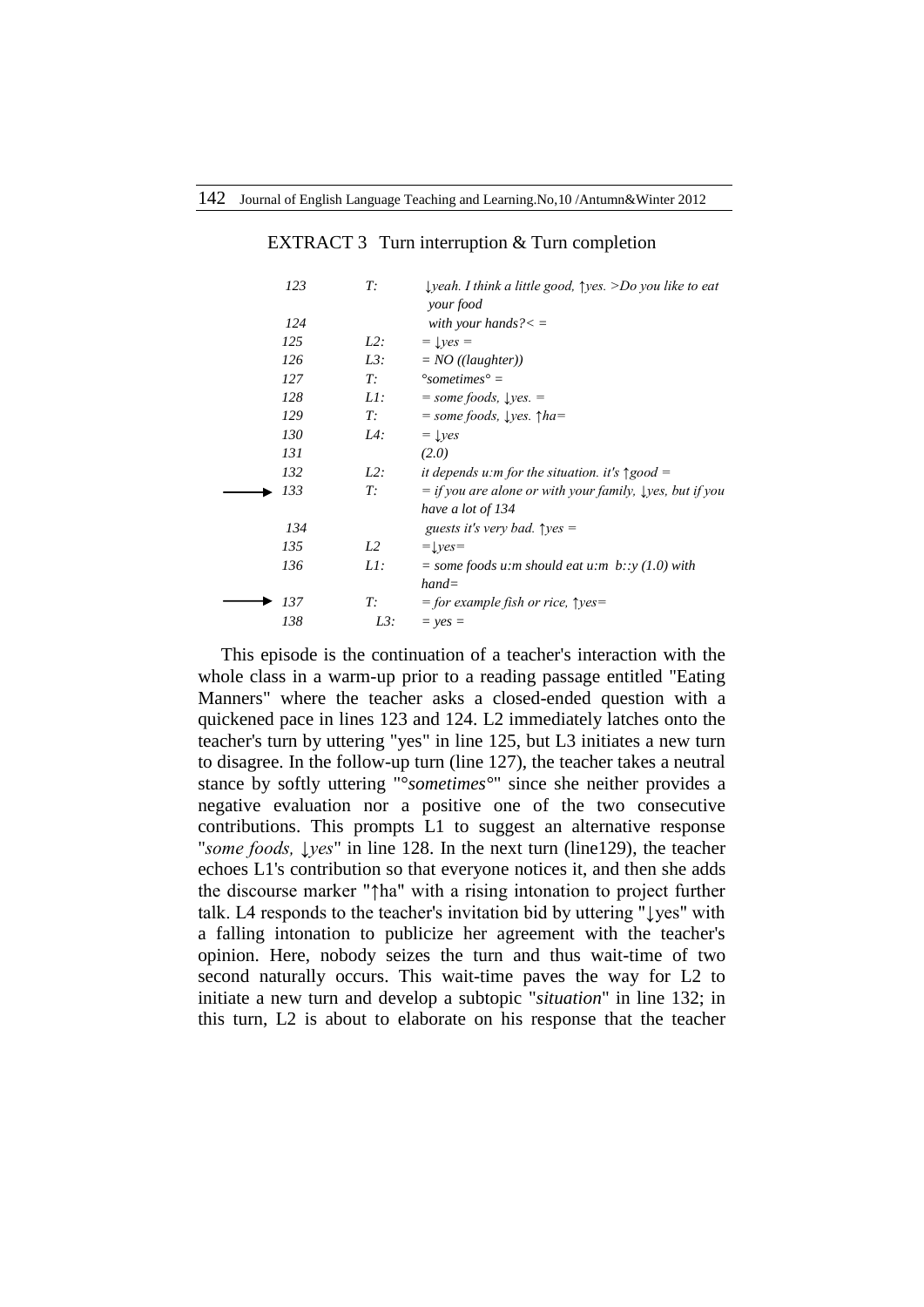| 123<br>T:             | $\downarrow$ yeah. I think a little good, $\uparrow$ yes. >Do you like to eat<br>your food |
|-----------------------|--------------------------------------------------------------------------------------------|
| 124                   | with your hands? $\lt$ =                                                                   |
| 125<br>$L2$ :         | $= \lfloor \text{yes} \rfloor$                                                             |
| 126<br>$L3$ :         | $= NO ( (laughter))$                                                                       |
| 127<br>T:             | $^{\circ}$ sometimes $^{\circ}$ =                                                          |
| 128<br>LI:            | $=$ some foods, $\lfloor \text{ves.} \rfloor$                                              |
| 129<br>T:             | $=$ some foods, $\downarrow$ yes. $\uparrow$ ha $=$                                        |
| 130<br>$A$ :          | $= \lfloor \gamma \rho s \rfloor$                                                          |
| 131                   | (2.0)                                                                                      |
| 132<br>$L2$ :         | it depends u:m for the situation. it's $\uparrow$ good =                                   |
| 133<br>T:             | $=$ if you are alone or with your family, $\lfloor$ yes, but if you                        |
|                       | have a lot of 134                                                                          |
| 134                   | guests it's very bad. $\uparrow$ yes =                                                     |
| 135<br>L <sub>2</sub> | $=\lfloor \gamma \rho s \rfloor$                                                           |
| 136<br>LI:            | $=$ some foods u:m should eat u:m b::y (1.0) with                                          |
|                       | $hand =$                                                                                   |
| 137<br>T:             | $=$ for example fish or rice, $\uparrow$ yes $=$                                           |
| 138<br>L3:            | $=$ $ves =$                                                                                |
|                       |                                                                                            |

#### EXTRACT 3 Turn interruption & Turn completion

 This episode is the continuation of a teacher's interaction with the whole class in a warm-up prior to a reading passage entitled "Eating Manners" where the teacher asks a closed-ended question with a quickened pace in lines 123 and 124. L2 immediately latches onto the teacher's turn by uttering "yes" in line 125, but L3 initiates a new turn to disagree. In the follow-up turn (line 127), the teacher takes a neutral stance by softly uttering "°*sometimes°*" since she neither provides a negative evaluation nor a positive one of the two consecutive contributions. This prompts L1 to suggest an alternative response "*some foods, ↓yes*" in line 128. In the next turn (line129), the teacher echoes L1's contribution so that everyone notices it, and then she adds the discourse marker "↑ha" with a rising intonation to project further talk. L4 responds to the teacher's invitation bid by uttering "↓yes" with a falling intonation to publicize her agreement with the teacher's opinion. Here, nobody seizes the turn and thus wait-time of two second naturally occurs. This wait-time paves the way for L2 to initiate a new turn and develop a subtopic "*situation*" in line 132; in this turn, L2 is about to elaborate on his response that the teacher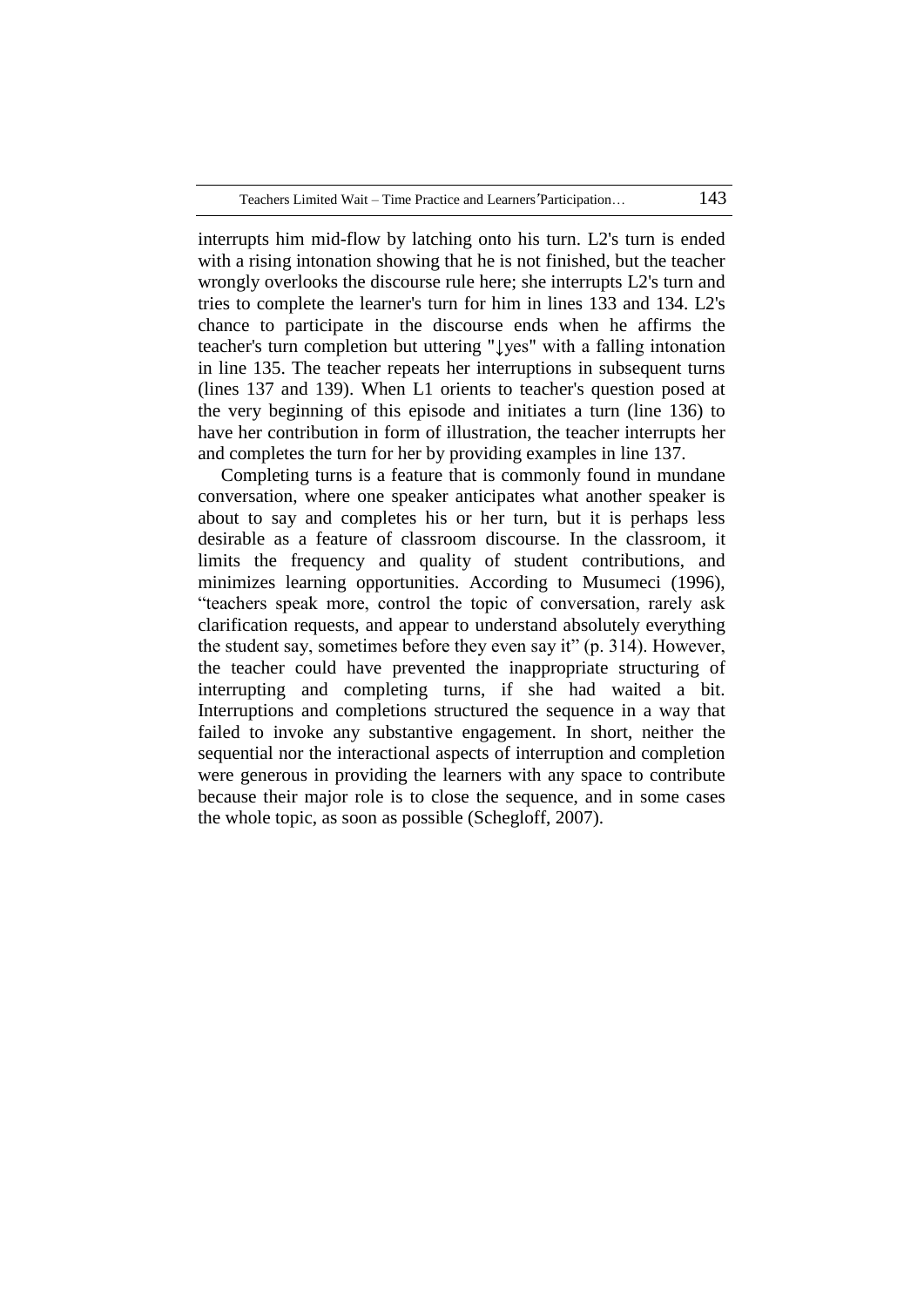interrupts him mid-flow by latching onto his turn. L2's turn is ended with a rising intonation showing that he is not finished, but the teacher wrongly overlooks the discourse rule here; she interrupts L2's turn and tries to complete the learner's turn for him in lines 133 and 134. L2's chance to participate in the discourse ends when he affirms the teacher's turn completion but uttering "↓yes" with a falling intonation in line 135. The teacher repeats her interruptions in subsequent turns (lines 137 and 139). When L1 orients to teacher's question posed at the very beginning of this episode and initiates a turn (line 136) to have her contribution in form of illustration, the teacher interrupts her and completes the turn for her by providing examples in line 137.

 Completing turns is a feature that is commonly found in mundane conversation, where one speaker anticipates what another speaker is about to say and completes his or her turn, but it is perhaps less desirable as a feature of classroom discourse. In the classroom, it limits the frequency and quality of student contributions, and minimizes learning opportunities. According to Musumeci (1996), "teachers speak more, control the topic of conversation, rarely ask clarification requests, and appear to understand absolutely everything the student say, sometimes before they even say it" (p. 314). However, the teacher could have prevented the inappropriate structuring of interrupting and completing turns, if she had waited a bit. Interruptions and completions structured the sequence in a way that failed to invoke any substantive engagement. In short, neither the sequential nor the interactional aspects of interruption and completion were generous in providing the learners with any space to contribute because their major role is to close the sequence, and in some cases the whole topic, as soon as possible (Schegloff, 2007).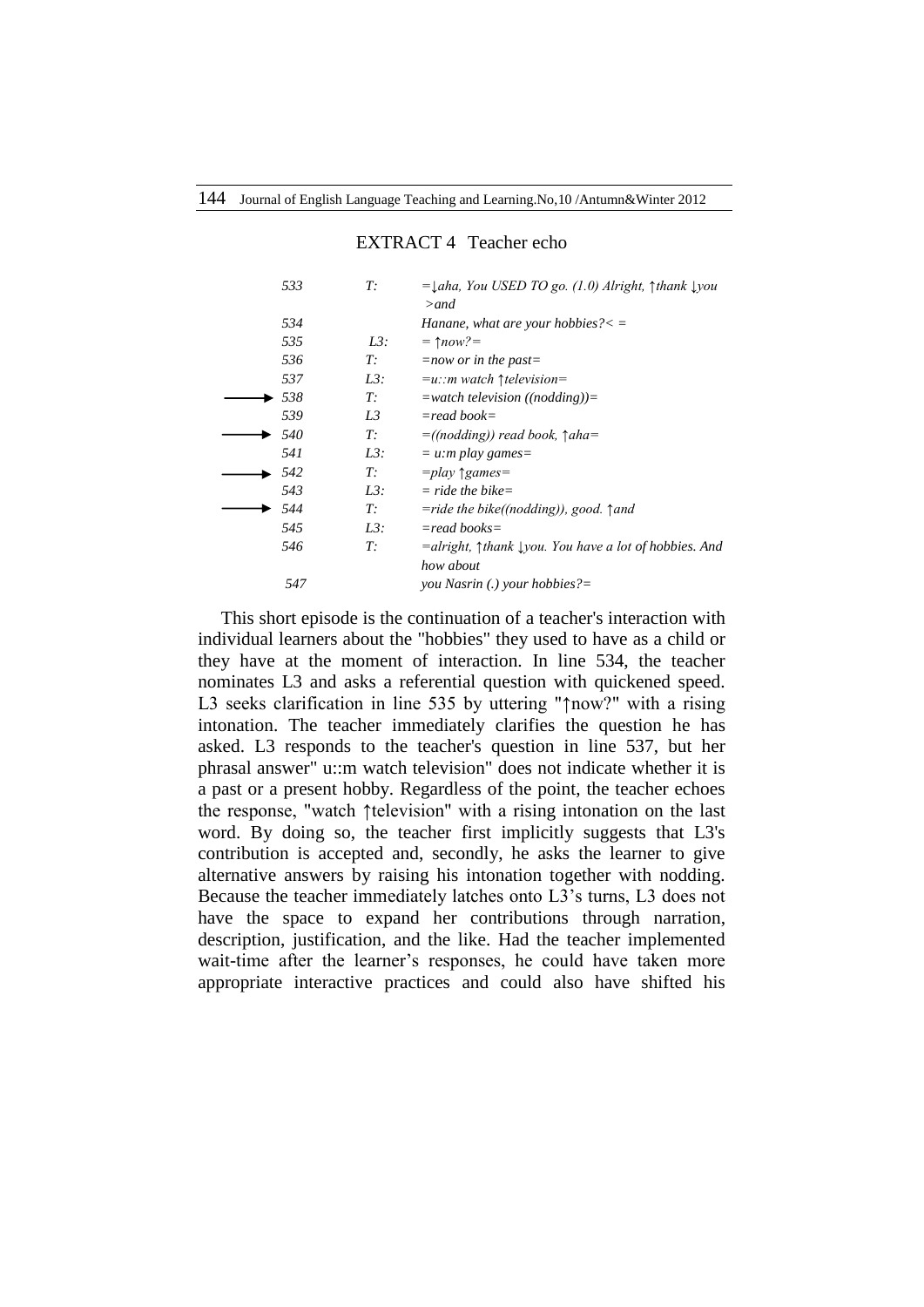### EXTRACT 4 Teacher echo

| 533 | T:     | = $\downarrow$ aha, You USED TO go. (1.0) Alright, $\uparrow$ thank $\downarrow$ you |
|-----|--------|--------------------------------------------------------------------------------------|
|     |        | $>$ and                                                                              |
| 534 |        | Hanane, what are your hobbies? $\lt$ =                                               |
| 535 | $L3$ : | $= \uparrow$ now?=                                                                   |
| 536 | T:     | $=$ now or in the past $=$                                                           |
| 537 | $L3$ : | $=u$ ::m watch $\uparrow$ television=                                                |
| 538 | T:     | =watch television $((nodding))=$                                                     |
| 539 | L3     | $= read \, book =$                                                                   |
| 540 | T:     | $=$ ((nodding)) read book, $\uparrow$ aha $=$                                        |
| 541 | $L3$ : | $= u$ : <i>m</i> play games=                                                         |
| 542 | T:     | $=$ play $\uparrow$ games $=$                                                        |
| 543 | $L3$ : | $=$ ride the bike=                                                                   |
| 544 | T:     | $=$ ride the bike((nodding)), good. $\uparrow$ and                                   |
| 545 | $L3$ : | $= read \; books =$                                                                  |
| 546 | T:     | $=$ alright, $\uparrow$ thank $\downarrow$ you. You have a lot of hobbies. And       |
|     |        | how about                                                                            |
| 547 |        | you Nasrin (.) your hobbies?=                                                        |

 This short episode is the continuation of a teacher's interaction with individual learners about the "hobbies" they used to have as a child or they have at the moment of interaction. In line 534, the teacher nominates L3 and asks a referential question with quickened speed. L3 seeks clarification in line 535 by uttering "↑now?" with a rising intonation. The teacher immediately clarifies the question he has asked. L3 responds to the teacher's question in line 537, but her phrasal answer" u::m watch television" does not indicate whether it is a past or a present hobby. Regardless of the point, the teacher echoes the response, "watch ↑television" with a rising intonation on the last word. By doing so, the teacher first implicitly suggests that L3's contribution is accepted and, secondly, he asks the learner to give alternative answers by raising his intonation together with nodding. Because the teacher immediately latches onto L3's turns, L3 does not have the space to expand her contributions through narration, description, justification, and the like. Had the teacher implemented wait-time after the learner's responses, he could have taken more appropriate interactive practices and could also have shifted his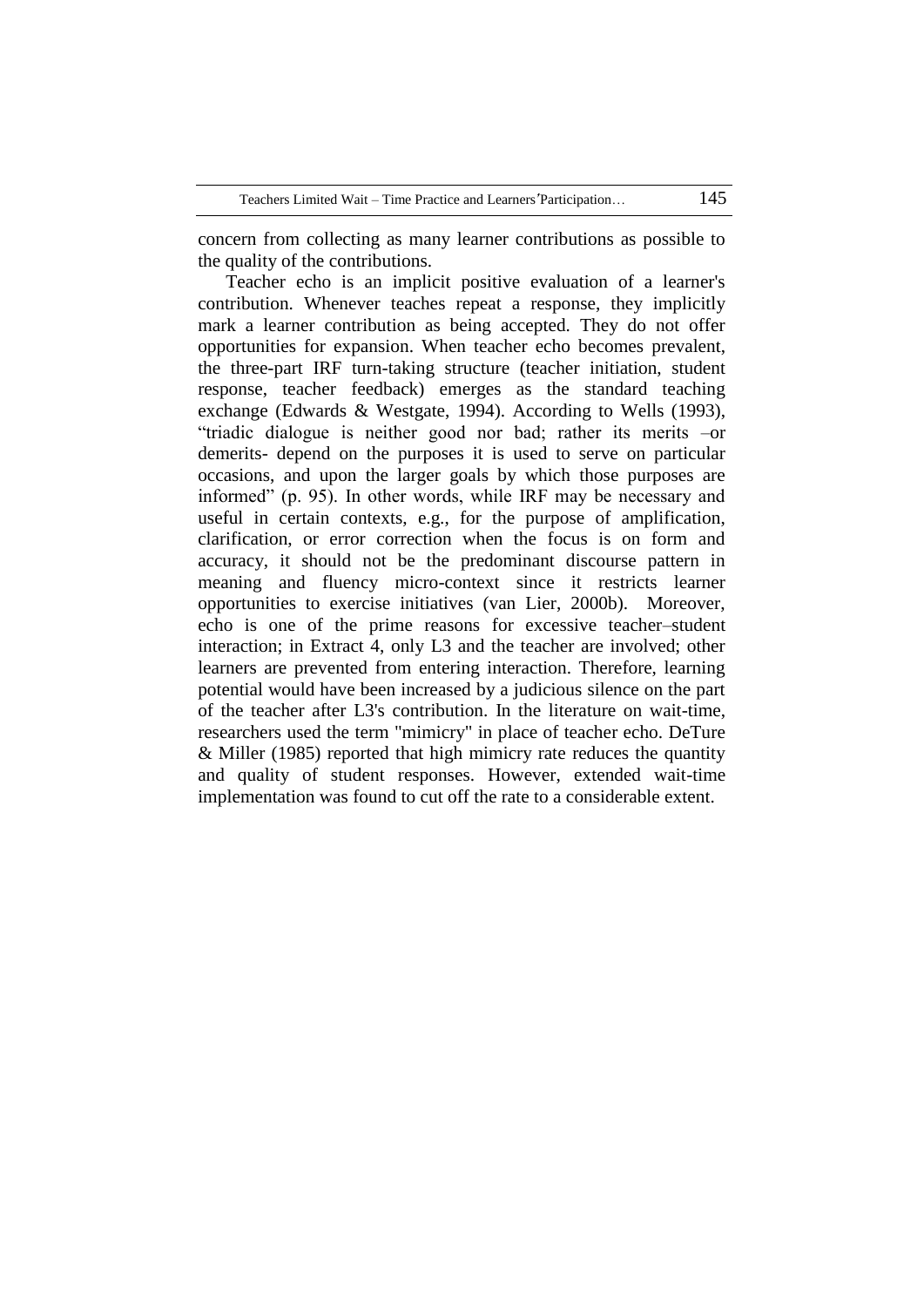concern from collecting as many learner contributions as possible to the quality of the contributions.

 Teacher echo is an implicit positive evaluation of a learner's contribution. Whenever teaches repeat a response, they implicitly mark a learner contribution as being accepted. They do not offer opportunities for expansion. When teacher echo becomes prevalent, the three-part IRF turn-taking structure (teacher initiation, student response, teacher feedback) emerges as the standard teaching exchange (Edwards & Westgate, 1994). According to Wells (1993), "triadic dialogue is neither good nor bad; rather its merits –or demerits- depend on the purposes it is used to serve on particular occasions, and upon the larger goals by which those purposes are informed" (p. 95). In other words, while IRF may be necessary and useful in certain contexts, e.g., for the purpose of amplification, clarification, or error correction when the focus is on form and accuracy, it should not be the predominant discourse pattern in meaning and fluency micro-context since it restricts learner opportunities to exercise initiatives (van Lier, 2000b). Moreover, echo is one of the prime reasons for excessive teacher–student interaction; in Extract 4, only L3 and the teacher are involved; other learners are prevented from entering interaction. Therefore, learning potential would have been increased by a judicious silence on the part of the teacher after L3's contribution. In the literature on wait-time, researchers used the term "mimicry" in place of teacher echo. DeTure & Miller (1985) reported that high mimicry rate reduces the quantity and quality of student responses. However, extended wait-time implementation was found to cut off the rate to a considerable extent.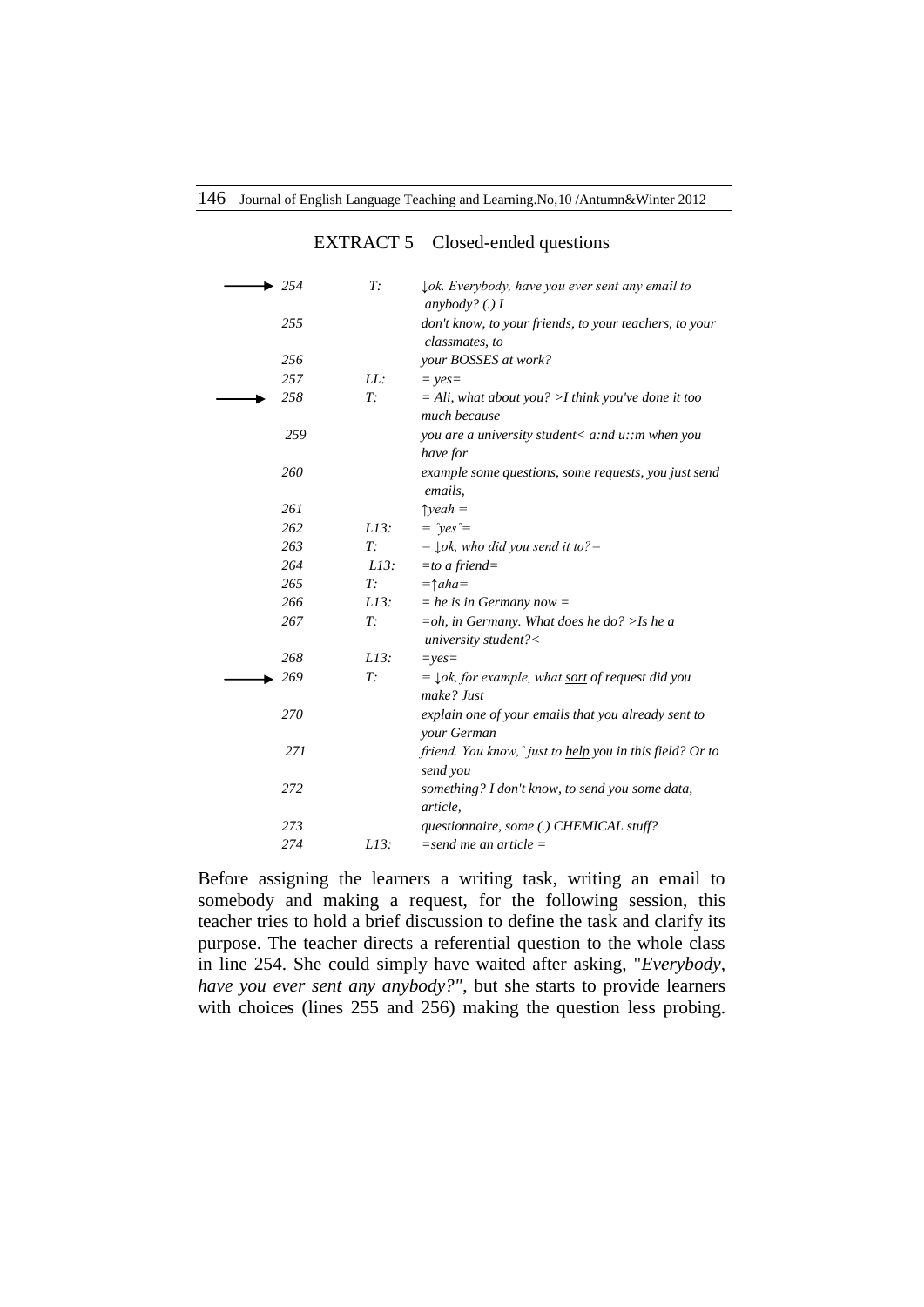## 146 Journal of English Language Teaching and Learning.No,10 /Antumn&Winter 2012

| 254 | T:      | Lok. Everybody, have you ever sent any email to<br>anybody? $(.) I$                 |
|-----|---------|-------------------------------------------------------------------------------------|
| 255 |         | don't know, to your friends, to your teachers, to your                              |
|     |         | classmates, to                                                                      |
| 256 |         | your BOSSES at work?                                                                |
| 257 | LL:     | $= \nu e s =$                                                                       |
| 258 | T:      | $= Ali$ , what about you? >I think you've done it too<br>much because               |
| 259 |         | you are a university student $\lt a$ :nd $u$ ::m when you<br>have for               |
| 260 |         | example some questions, some requests, you just send<br>emails.                     |
| 261 |         | $\uparrow$ yeah =                                                                   |
| 262 | $L13$ : | $=$ $\degree$ yes $\degree$ =                                                       |
| 263 | T:      | $=$ $\lfloor$ ok, who did you send it to? =                                         |
| 264 | $L13$ : | $=$ to a friend $=$                                                                 |
| 265 | T:      | $= \uparrow aha =$                                                                  |
| 266 | $L13$ : | $=$ he is in Germany now $=$                                                        |
| 267 | T:      | $=$ oh, in Germany. What does he do? > Is he a<br>university student?<              |
| 268 | L13:    | $=$ yes $=$                                                                         |
| 269 | T:      | $=$ $\downarrow$ ok, for example, what <u>sort</u> of request did you<br>make? Just |
| 270 |         | explain one of your emails that you already sent to<br>your German                  |
| 271 |         | friend. You know, 'just to help you in this field? Or to<br>send you                |
| 272 |         | something? I don't know, to send you some data,<br>article,                         |
| 273 |         | questionnaire, some (.) CHEMICAL stuff?                                             |
| 274 | $L13$ : | $=$ send me an article $=$                                                          |

EXTRACT 5Closed-ended questions

Before assigning the learners a writing task, writing an email to somebody and making a request, for the following session, this teacher tries to hold a brief discussion to define the task and clarify its purpose. The teacher directs a referential question to the whole class in line 254. She could simply have waited after asking, "*Everybody, have you ever sent any anybody?"*, but she starts to provide learners with choices (lines 255 and 256) making the question less probing.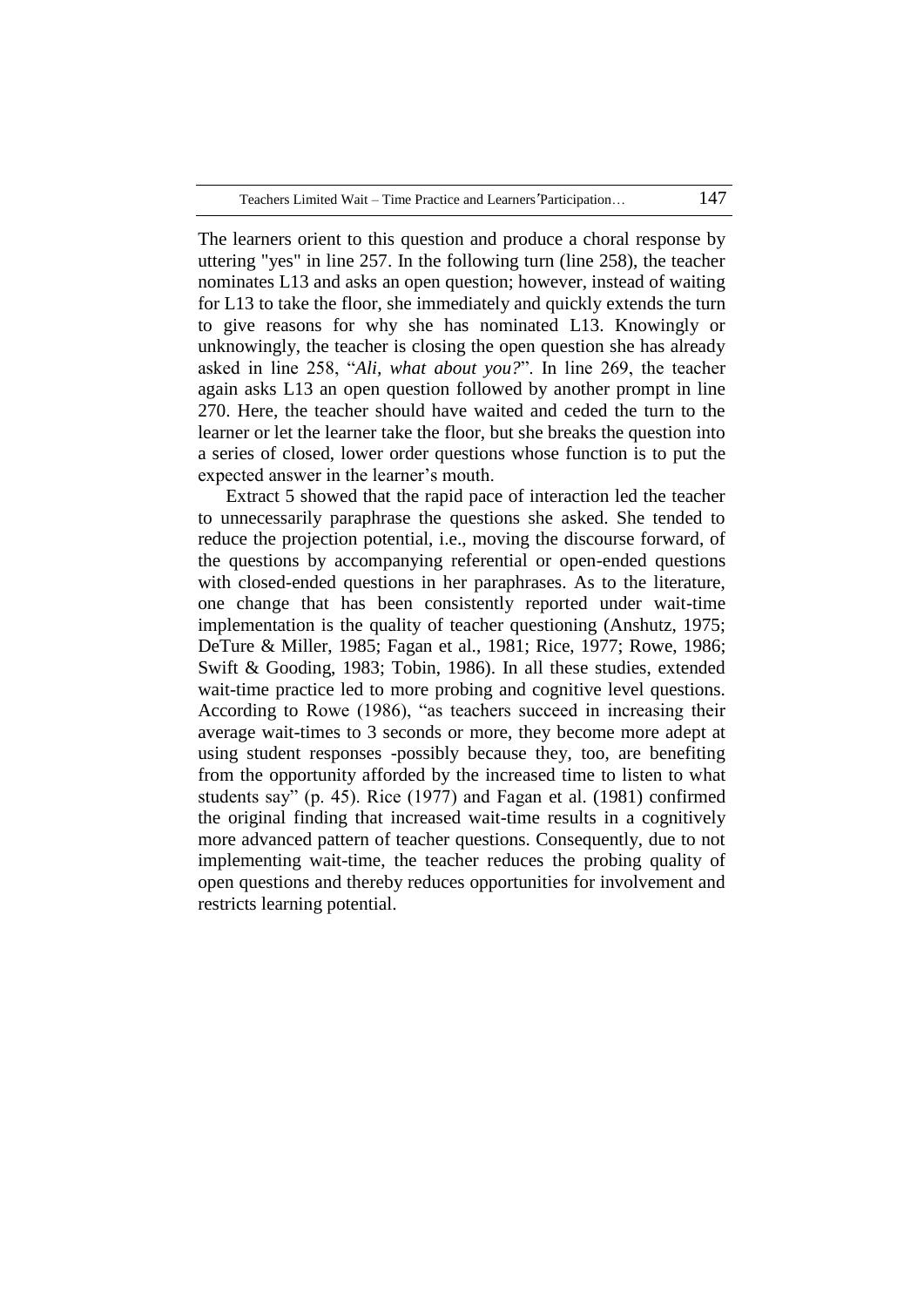The learners orient to this question and produce a choral response by uttering "yes" in line 257. In the following turn (line 258), the teacher nominates L13 and asks an open question; however, instead of waiting for L13 to take the floor, she immediately and quickly extends the turn to give reasons for why she has nominated L13. Knowingly or unknowingly, the teacher is closing the open question she has already asked in line 258, "*Ali, what about you?*". In line 269, the teacher again asks L13 an open question followed by another prompt in line 270. Here, the teacher should have waited and ceded the turn to the learner or let the learner take the floor, but she breaks the question into a series of closed, lower order questions whose function is to put the expected answer in the learner's mouth.

 Extract 5 showed that the rapid pace of interaction led the teacher to unnecessarily paraphrase the questions she asked. She tended to reduce the projection potential, i.e., moving the discourse forward, of the questions by accompanying referential or open-ended questions with closed-ended questions in her paraphrases. As to the literature, one change that has been consistently reported under wait-time implementation is the quality of teacher questioning (Anshutz, 1975; DeTure & Miller, 1985; Fagan et al., 1981; Rice, 1977; Rowe, 1986; Swift & Gooding, 1983; Tobin, 1986). In all these studies, extended wait-time practice led to more probing and cognitive level questions. According to Rowe (1986), "as teachers succeed in increasing their average wait-times to 3 seconds or more, they become more adept at using student responses -possibly because they, too, are benefiting from the opportunity afforded by the increased time to listen to what students say" (p. 45). Rice (1977) and Fagan et al. (1981) confirmed the original finding that increased wait-time results in a cognitively more advanced pattern of teacher questions. Consequently, due to not implementing wait-time, the teacher reduces the probing quality of open questions and thereby reduces opportunities for involvement and restricts learning potential.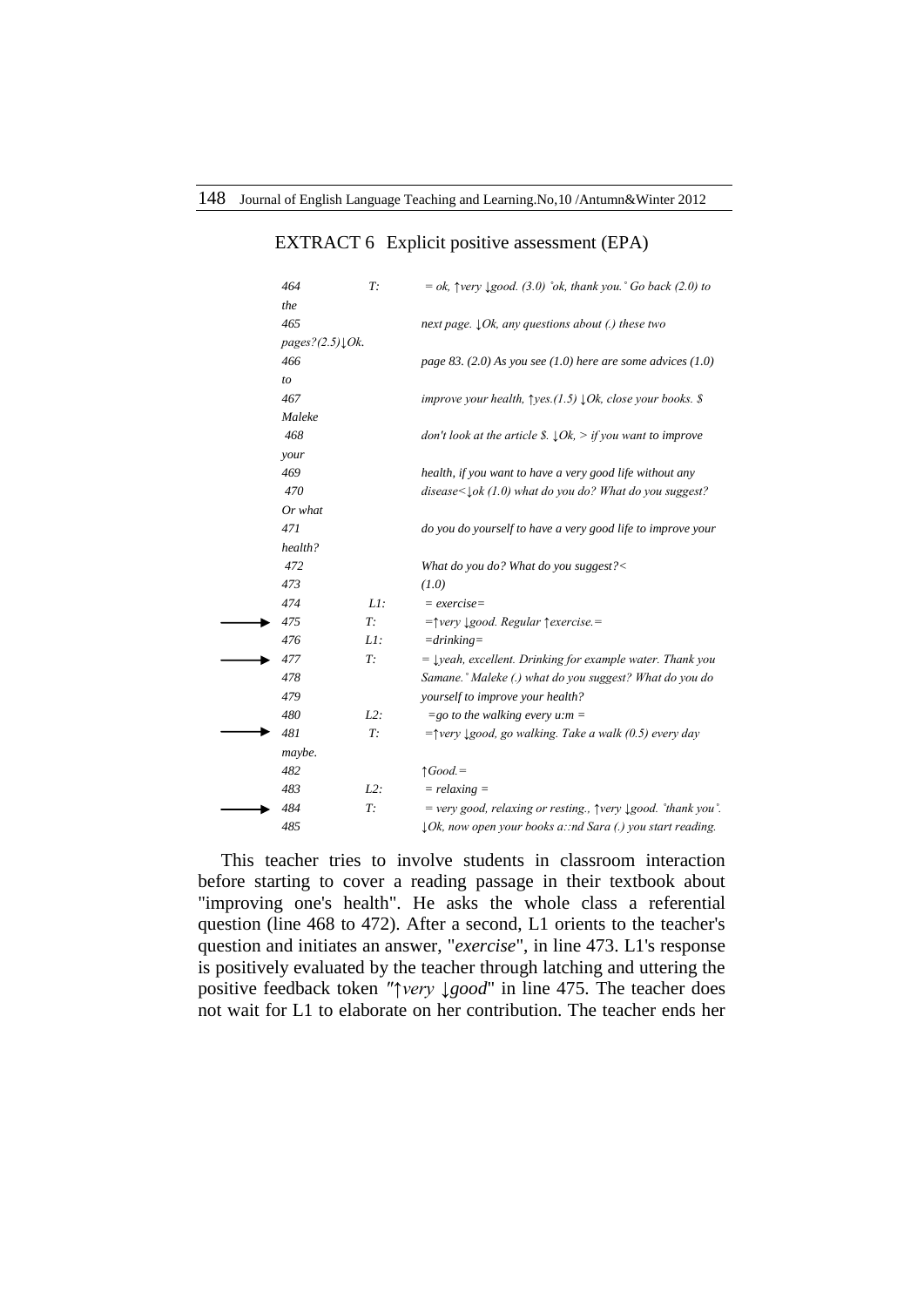| 464  | T:                           | $=$ ok, $\uparrow$ very $\downarrow$ good. (3.0) $\circ$ ok, thank you. $\circ$ Go back (2.0) to |
|------|------------------------------|--------------------------------------------------------------------------------------------------|
| the  |                              |                                                                                                  |
| 465  |                              | next page. $\downarrow$ Ok, any questions about (.) these two                                    |
|      | $pages?(2.5) \downarrow Ok.$ |                                                                                                  |
| 466  |                              | page 83. (2.0) As you see (1.0) here are some advices (1.0)                                      |
| to   |                              |                                                                                                  |
| 467  |                              | improve your health, $\gamma$ yes.(1.5) $\downarrow$ Ok, close your books. \$                    |
|      | Maleke                       |                                                                                                  |
| 468  |                              | don't look at the article \$. $\downarrow$ Ok, > if you want to improve                          |
| your |                              |                                                                                                  |
| 469  |                              | health, if you want to have a very good life without any                                         |
| 470  |                              | disease $\leq$ $\lfloor$ ok (1.0) what do you do? What do you suggest?                           |
|      | Or what                      |                                                                                                  |
| 471  |                              | do you do yourself to have a very good life to improve your                                      |
|      | health?                      |                                                                                                  |
| 472  |                              | What do you do? What do you suggest?<                                                            |
| 473  |                              | (1.0)                                                                                            |
| 474  | LI:                          | $= exercise =$                                                                                   |
| 475  | T:                           | $=\uparrow$ very $\downarrow$ good. Regular $\uparrow$ exercise. $=$                             |
| 476  | LI:                          | $=$ drinking=                                                                                    |
| 477  | T:                           | $=$ $\downarrow$ yeah, excellent. Drinking for example water. Thank you                          |
| 478  |                              | Samane. Maleke (.) what do you suggest? What do you do                                           |
| 479  |                              | yourself to improve your health?                                                                 |
| 480  | L2:                          | $=$ go to the walking every u:m $=$                                                              |
| 481  | T:                           | = $\uparrow$ very $\downarrow$ good, go walking. Take a walk (0.5) every day                     |
|      | maybe.                       |                                                                                                  |
| 482  |                              | $\uparrow$ Good. =                                                                               |
| 483  | $L2$ :                       | $=$ relaxing $=$                                                                                 |
| 484  | T:                           | = very good, relaxing or resting., \very \good. "thank you".                                     |
| 485  |                              | $\downarrow$ Ok, now open your books a::nd Sara (.) you start reading.                           |

## EXTRACT 6 Explicit positive assessment (EPA)

 This teacher tries to involve students in classroom interaction before starting to cover a reading passage in their textbook about "improving one's health". He asks the whole class a referential question (line 468 to 472). After a second, L1 orients to the teacher's question and initiates an answer, "*exercise*", in line 473. L1's response is positively evaluated by the teacher through latching and uttering the positive feedback token *"↑very ↓good*" in line 475. The teacher does not wait for L1 to elaborate on her contribution. The teacher ends her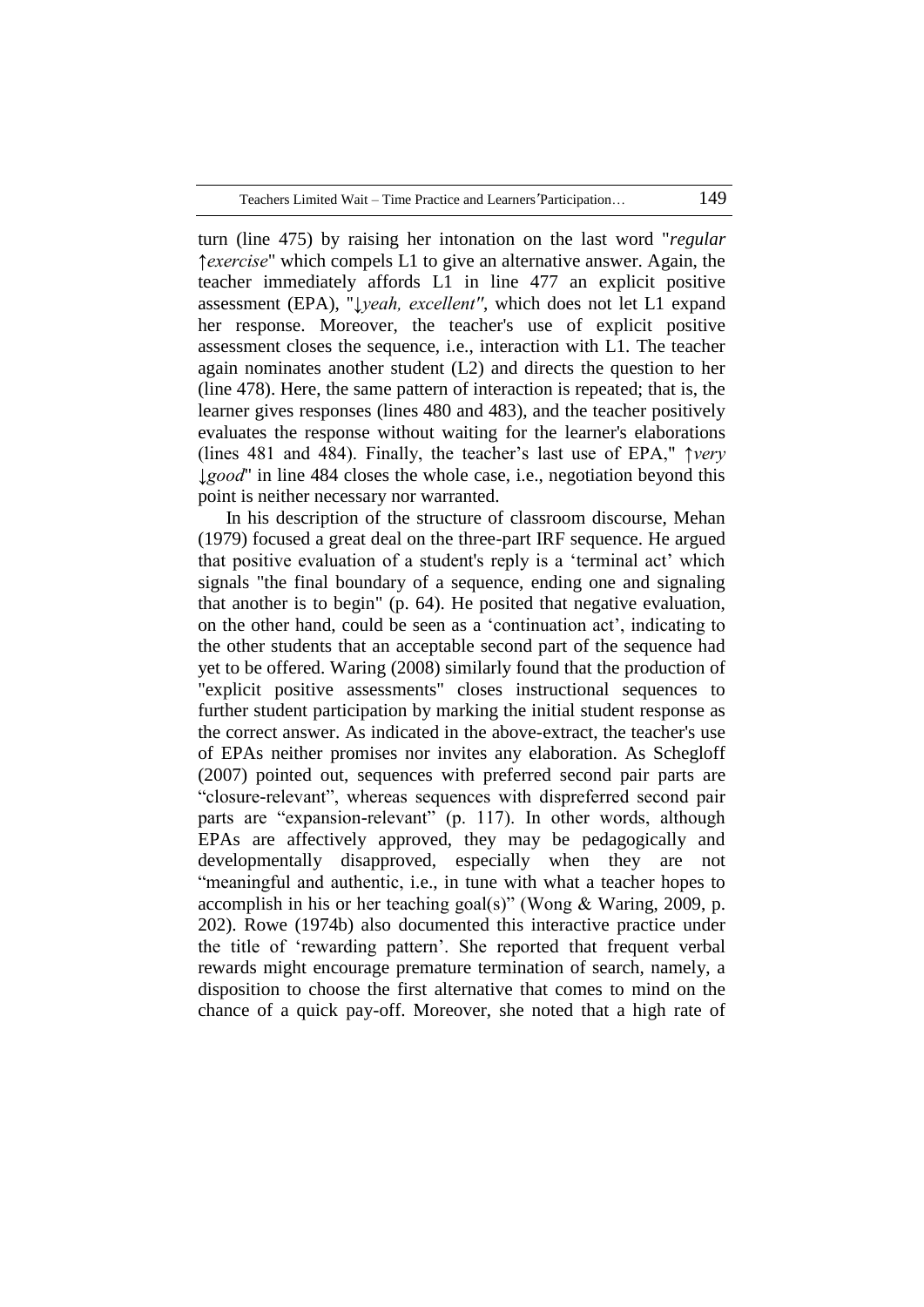turn (line 475) by raising her intonation on the last word "*regular ↑exercise*" which compels L1 to give an alternative answer. Again, the teacher immediately affords L1 in line 477 an explicit positive assessment (EPA), ''*↓yeah, excellent''*, which does not let L1 expand her response. Moreover, the teacher's use of explicit positive assessment closes the sequence, i.e., interaction with L1. The teacher again nominates another student (L2) and directs the question to her (line 478). Here, the same pattern of interaction is repeated; that is, the learner gives responses (lines 480 and 483), and the teacher positively evaluates the response without waiting for the learner's elaborations (lines 481 and 484). Finally, the teacher's last use of EPA," *↑very ↓good*" in line 484 closes the whole case, i.e., negotiation beyond this point is neither necessary nor warranted.

 In his description of the structure of classroom discourse, Mehan (1979) focused a great deal on the three-part IRF sequence. He argued that positive evaluation of a student's reply is a 'terminal act' which signals "the final boundary of a sequence, ending one and signaling that another is to begin" (p. 64). He posited that negative evaluation, on the other hand, could be seen as a 'continuation act', indicating to the other students that an acceptable second part of the sequence had yet to be offered. Waring (2008) similarly found that the production of "explicit positive assessments" closes instructional sequences to further student participation by marking the initial student response as the correct answer. As indicated in the above-extract, the teacher's use of EPAs neither promises nor invites any elaboration. As Schegloff (2007) pointed out, sequences with preferred second pair parts are "closure-relevant", whereas sequences with dispreferred second pair parts are "expansion-relevant" (p. 117). In other words, although EPAs are affectively approved, they may be pedagogically and developmentally disapproved, especially when they are not "meaningful and authentic, i.e., in tune with what a teacher hopes to accomplish in his or her teaching goal(s)" (Wong & Waring, 2009, p. 202). Rowe (1974b) also documented this interactive practice under the title of 'rewarding pattern'. She reported that frequent verbal rewards might encourage premature termination of search, namely, a disposition to choose the first alternative that comes to mind on the chance of a quick pay-off. Moreover, she noted that a high rate of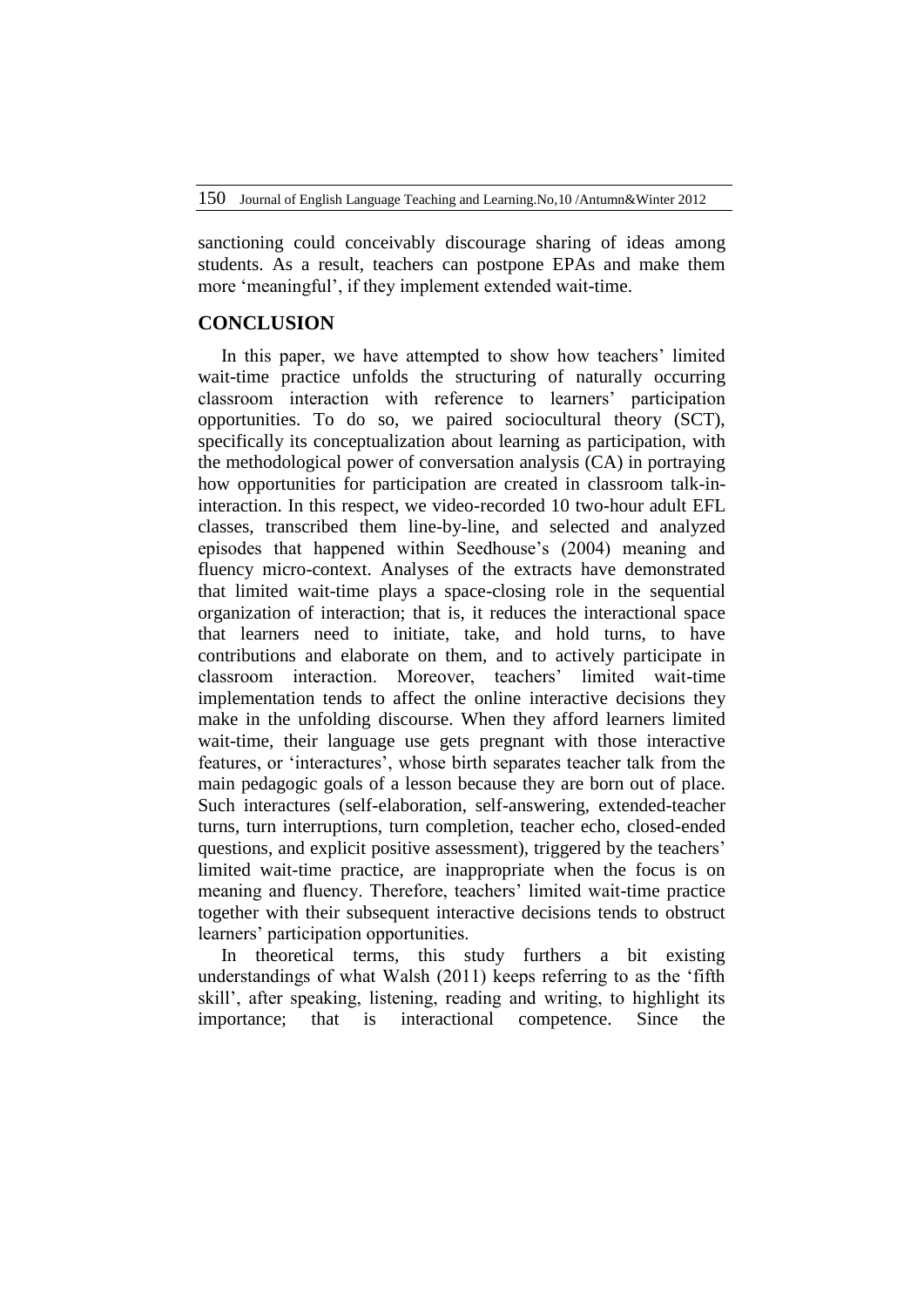sanctioning could conceivably discourage sharing of ideas among students. As a result, teachers can postpone EPAs and make them more 'meaningful', if they implement extended wait-time.

# **CONCLUSION**

 In this paper, we have attempted to show how teachers' limited wait-time practice unfolds the structuring of naturally occurring classroom interaction with reference to learners' participation opportunities. To do so, we paired sociocultural theory (SCT), specifically its conceptualization about learning as participation, with the methodological power of conversation analysis (CA) in portraying how opportunities for participation are created in classroom talk-ininteraction. In this respect, we video-recorded 10 two-hour adult EFL classes, transcribed them line-by-line, and selected and analyzed episodes that happened within Seedhouse's (2004) meaning and fluency micro-context. Analyses of the extracts have demonstrated that limited wait-time plays a space-closing role in the sequential organization of interaction; that is, it reduces the interactional space that learners need to initiate, take, and hold turns, to have contributions and elaborate on them, and to actively participate in classroom interaction. Moreover, teachers' limited wait-time implementation tends to affect the online interactive decisions they make in the unfolding discourse. When they afford learners limited wait-time, their language use gets pregnant with those interactive features, or 'interactures', whose birth separates teacher talk from the main pedagogic goals of a lesson because they are born out of place. Such interactures (self-elaboration, self-answering, extended-teacher turns, turn interruptions, turn completion, teacher echo, closed-ended questions, and explicit positive assessment), triggered by the teachers' limited wait-time practice, are inappropriate when the focus is on meaning and fluency. Therefore, teachers' limited wait-time practice together with their subsequent interactive decisions tends to obstruct learners' participation opportunities.

 In theoretical terms, this study furthers a bit existing understandings of what Walsh (2011) keeps referring to as the 'fifth skill', after speaking, listening, reading and writing, to highlight its importance; that is interactional competence. Since the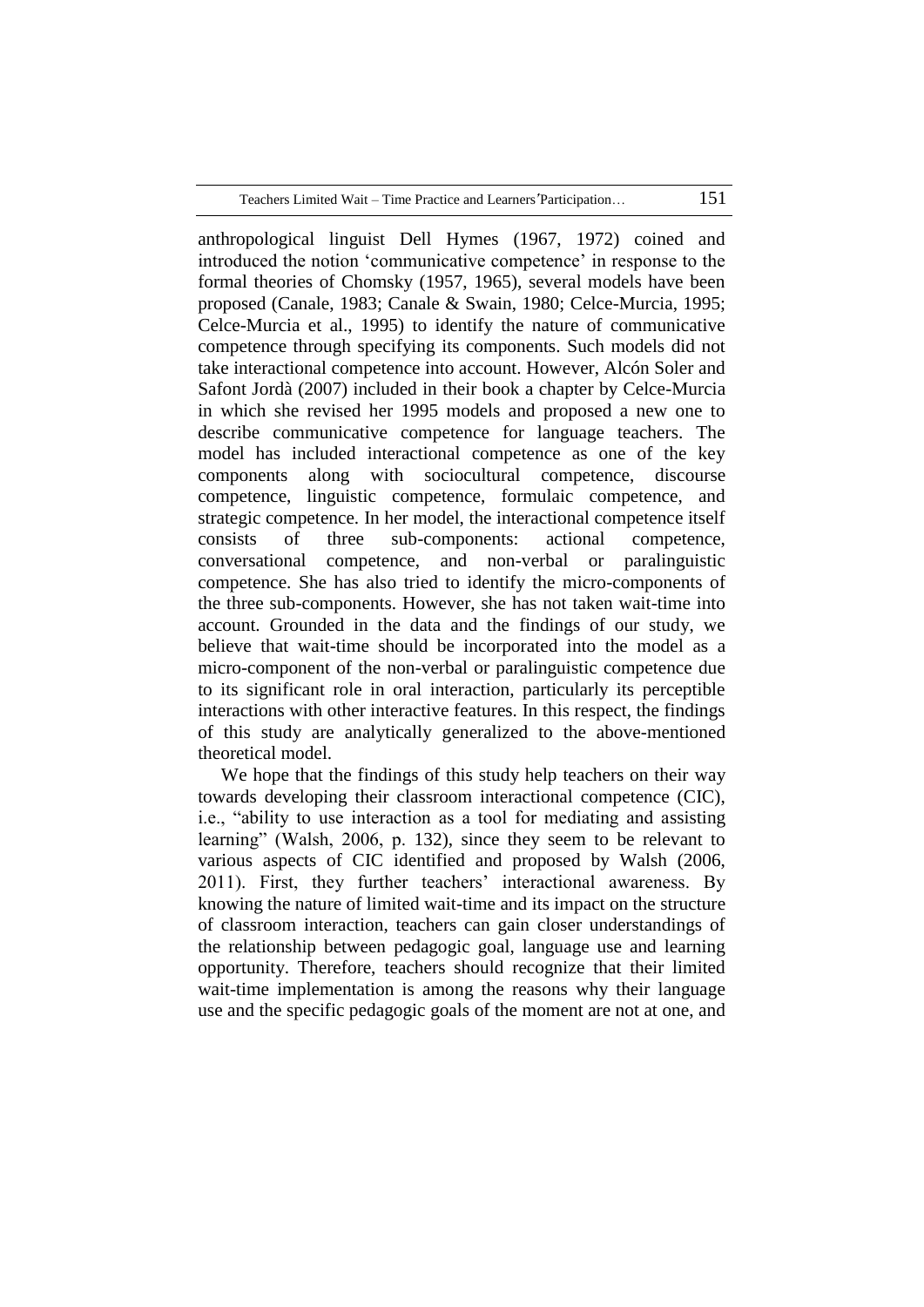anthropological linguist Dell Hymes (1967, 1972) coined and introduced the notion 'communicative competence' in response to the formal theories of Chomsky (1957, 1965), several models have been proposed (Canale, 1983; Canale & Swain, 1980; Celce-Murcia, 1995; Celce-Murcia et al., 1995) to identify the nature of communicative competence through specifying its components. Such models did not take interactional competence into account. However, Alcón Soler and Safont Jordà (2007) included in their book a chapter by Celce-Murcia in which she revised her 1995 models and proposed a new one to describe communicative competence for language teachers. The model has included interactional competence as one of the key components along with sociocultural competence, discourse competence, linguistic competence, formulaic competence, and strategic competence. In her model, the interactional competence itself consists of three sub-components: actional competence, conversational competence, and non-verbal or paralinguistic competence. She has also tried to identify the micro-components of the three sub-components. However, she has not taken wait-time into account. Grounded in the data and the findings of our study, we believe that wait-time should be incorporated into the model as a micro-component of the non-verbal or paralinguistic competence due to its significant role in oral interaction, particularly its perceptible interactions with other interactive features. In this respect, the findings of this study are analytically generalized to the above-mentioned theoretical model.

 We hope that the findings of this study help teachers on their way towards developing their classroom interactional competence (CIC), i.e., "ability to use interaction as a tool for mediating and assisting learning" (Walsh, 2006, p. 132), since they seem to be relevant to various aspects of CIC identified and proposed by Walsh (2006, 2011). First, they further teachers' interactional awareness. By knowing the nature of limited wait-time and its impact on the structure of classroom interaction, teachers can gain closer understandings of the relationship between pedagogic goal, language use and learning opportunity. Therefore, teachers should recognize that their limited wait-time implementation is among the reasons why their language use and the specific pedagogic goals of the moment are not at one, and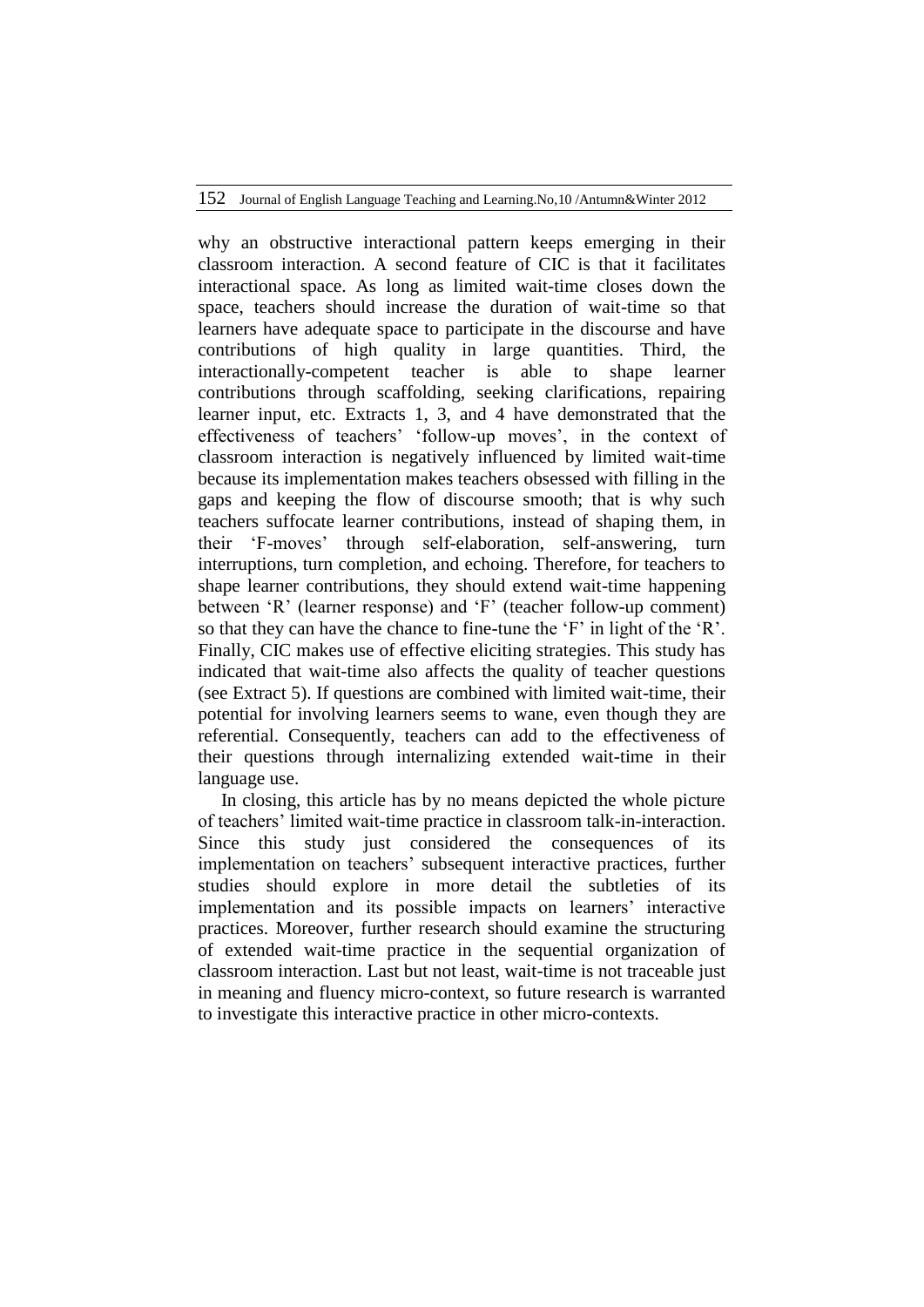why an obstructive interactional pattern keeps emerging in their classroom interaction. A second feature of CIC is that it facilitates interactional space. As long as limited wait-time closes down the space, teachers should increase the duration of wait-time so that learners have adequate space to participate in the discourse and have contributions of high quality in large quantities. Third, the interactionally-competent teacher is able to shape learner contributions through scaffolding, seeking clarifications, repairing learner input, etc. Extracts 1, 3, and 4 have demonstrated that the effectiveness of teachers' 'follow-up moves', in the context of classroom interaction is negatively influenced by limited wait-time because its implementation makes teachers obsessed with filling in the gaps and keeping the flow of discourse smooth; that is why such teachers suffocate learner contributions, instead of shaping them, in their 'F-moves' through self-elaboration, self-answering, turn interruptions, turn completion, and echoing. Therefore, for teachers to shape learner contributions, they should extend wait-time happening between 'R' (learner response) and 'F' (teacher follow-up comment) so that they can have the chance to fine-tune the 'F' in light of the 'R'. Finally, CIC makes use of effective eliciting strategies. This study has indicated that wait-time also affects the quality of teacher questions (see Extract 5). If questions are combined with limited wait-time, their potential for involving learners seems to wane, even though they are referential. Consequently, teachers can add to the effectiveness of their questions through internalizing extended wait-time in their language use.

 In closing, this article has by no means depicted the whole picture of teachers' limited wait-time practice in classroom talk-in-interaction. Since this study just considered the consequences of its implementation on teachers' subsequent interactive practices, further studies should explore in more detail the subtleties of its implementation and its possible impacts on learners' interactive practices. Moreover, further research should examine the structuring of extended wait-time practice in the sequential organization of classroom interaction. Last but not least, wait-time is not traceable just in meaning and fluency micro-context, so future research is warranted to investigate this interactive practice in other micro-contexts.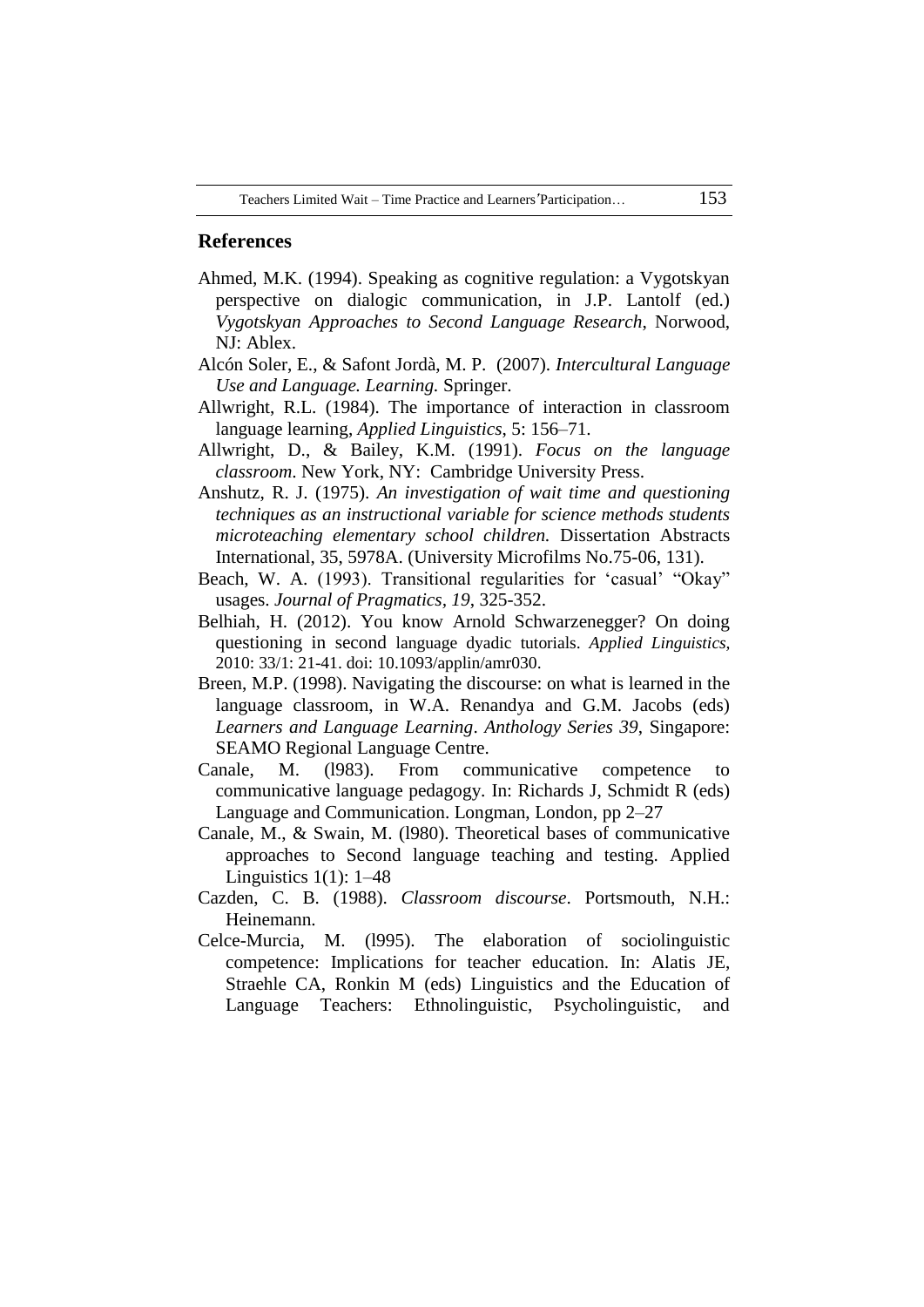# **References**

- Ahmed, M.K. (1994). Speaking as cognitive regulation: a Vygotskyan perspective on dialogic communication, in J.P. Lantolf (ed.) *Vygotskyan Approaches to Second Language Research*, Norwood, NJ: Ablex.
- Alcón Soler, E., & Safont Jordà, M. P.(2007). *Intercultural Language Use and Language. Learning.* Springer.
- Allwright, R.L. (1984). The importance of interaction in classroom language learning, *Applied Linguistics*, 5: 156–71.
- Allwright, D., & Bailey, K.M. (1991). *Focus on the language classroom*. New York, NY: Cambridge University Press.
- Anshutz, R. J. (1975). *An investigation of wait time and questioning techniques as an instructional variable for science methods students microteaching elementary school children.* Dissertation Abstracts International, 35, 5978A. (University Microfilms No.75-06, 131).
- Beach, W. A. (1993). Transitional regularities for 'casual' "Okay" usages. *Journal of Pragmatics, 19*, 325-352.
- Belhiah, H. (2012). You know Arnold Schwarzenegger? On doing questioning in second language dyadic tutorials. *Applied Linguistics,*  2010: 33/1: 21-41. doi: 10.1093/applin/amr030.
- Breen, M.P. (1998). Navigating the discourse: on what is learned in the language classroom, in W.A. Renandya and G.M. Jacobs (eds) *Learners and Language Learning*. *Anthology Series 39*, Singapore: SEAMO Regional Language Centre.
- Canale, M. (l983). From communicative competence to communicative language pedagogy. In: Richards J, Schmidt R (eds) Language and Communication. Longman, London, pp 2–27
- Canale, M., & Swain, M. (l980). Theoretical bases of communicative approaches to Second language teaching and testing. Applied Linguistics  $1(1)$ :  $1-48$
- Cazden, C. B. (1988). *Classroom discourse*. Portsmouth, N.H.: Heinemann.
- Celce-Murcia, M. (l995). The elaboration of sociolinguistic competence: Implications for teacher education. In: Alatis JE, Straehle CA, Ronkin M (eds) Linguistics and the Education of Language Teachers: Ethnolinguistic, Psycholinguistic, and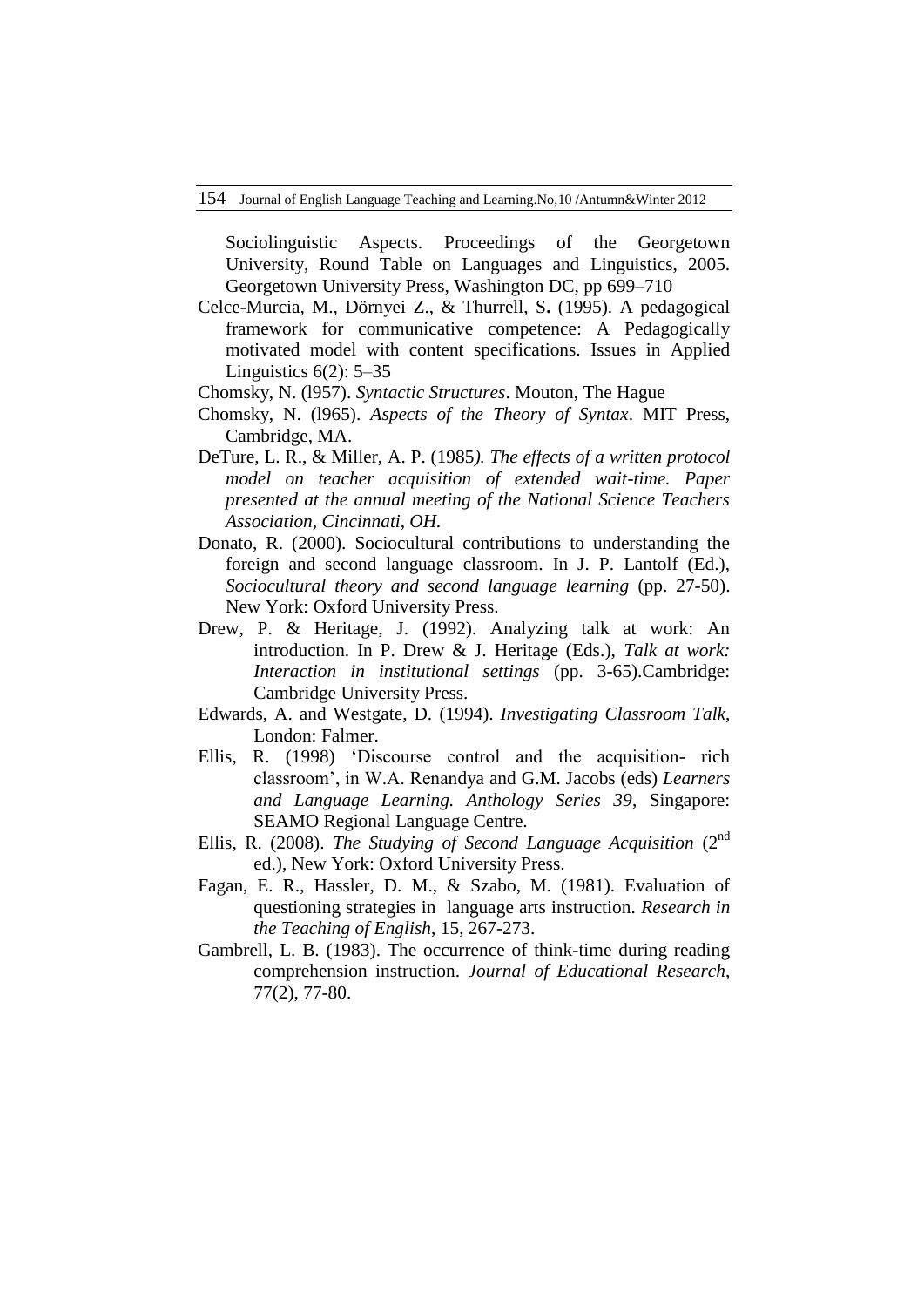Sociolinguistic Aspects. Proceedings of the Georgetown University, Round Table on Languages and Linguistics, 2005. Georgetown University Press, Washington DC, pp 699–710

- Celce-Murcia, M., Dörnyei Z., & Thurrell, S**.** (1995). A pedagogical framework for communicative competence: A Pedagogically motivated model with content specifications. Issues in Applied Linguistics  $6(2)$ : 5–35
- Chomsky, N. (l957). *Syntactic Structures*. Mouton, The Hague
- Chomsky, N. (l965). *Aspects of the Theory of Syntax*. MIT Press, Cambridge, MA.
- DeTure, L. R., & Miller, A. P. (1985*). The effects of a written protocol model on teacher acquisition of extended wait-time. Paper presented at the annual meeting of the National Science Teachers Association, Cincinnati, OH.*
- Donato, R. (2000). Sociocultural contributions to understanding the foreign and second language classroom. In J. P. Lantolf (Ed.), *Sociocultural theory and second language learning* (pp. 27-50). New York: Oxford University Press.
- Drew, P. & Heritage, J. (1992). Analyzing talk at work: An introduction. In P. Drew & J. Heritage (Eds.), *Talk at work: Interaction in institutional settings* (pp. 3-65).Cambridge: Cambridge University Press.
- Edwards, A. and Westgate, D. (1994). *Investigating Classroom Talk*, London: Falmer.
- Ellis, R. (1998) 'Discourse control and the acquisition- rich classroom', in W.A. Renandya and G.M. Jacobs (eds) *Learners and Language Learning. Anthology Series 39*, Singapore: SEAMO Regional Language Centre.
- Ellis, R. (2008). *The Studying of Second Language Acquisition* (2nd ed.), New York: Oxford University Press.
- Fagan, E. R., Hassler, D. M., & Szabo, M. (1981). Evaluation of questioning strategies in language arts instruction. *Research in the Teaching of English*, 15, 267-273.
- Gambrell, L. B. (1983). The occurrence of think-time during reading comprehension instruction. *Journal of Educational Research*, 77(2), 77-80.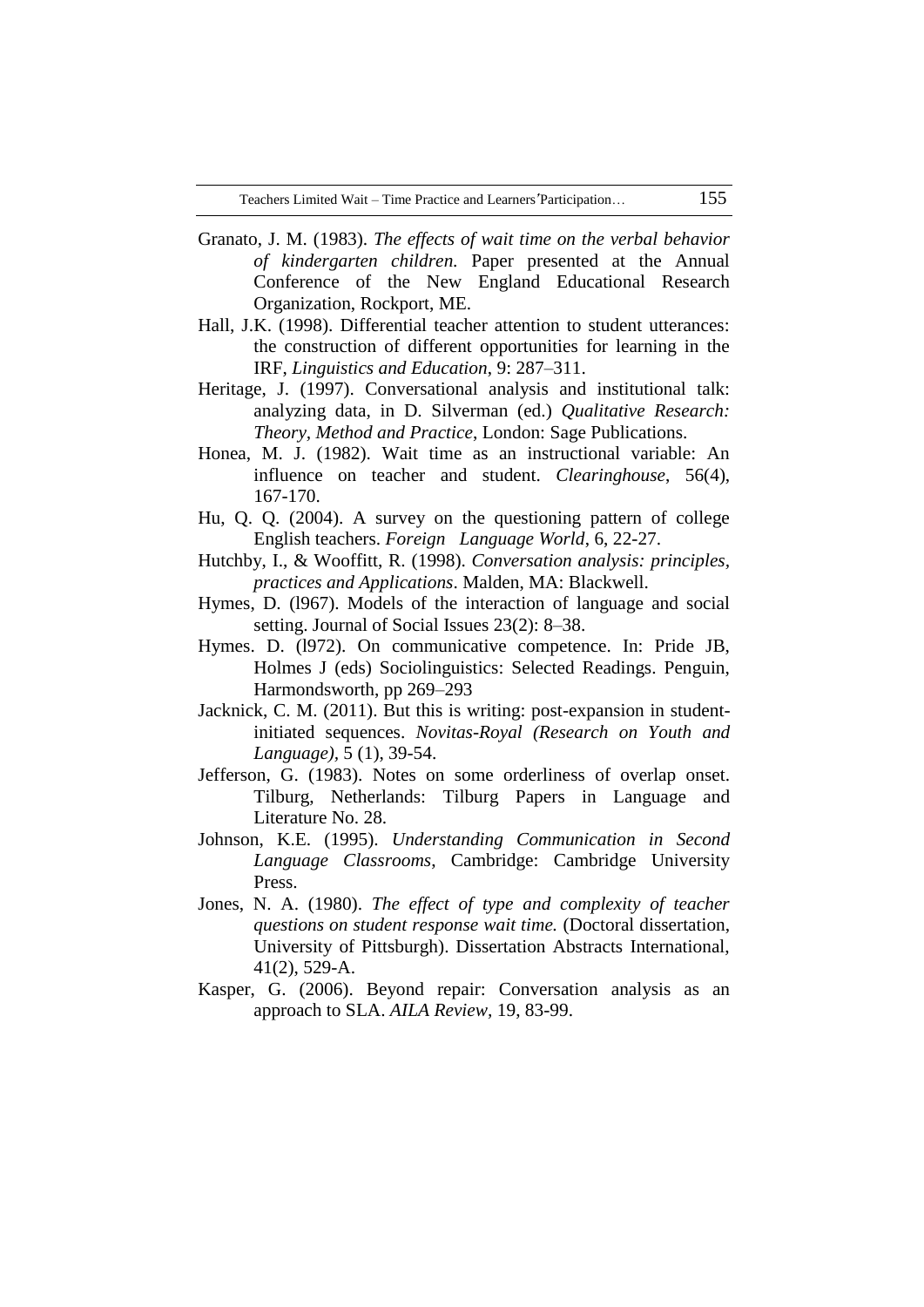- Granato, J. M. (1983). *The effects of wait time on the verbal behavior of kindergarten children.* Paper presented at the Annual Conference of the New England Educational Research Organization, Rockport, ME.
- Hall, J.K. (1998). Differential teacher attention to student utterances: the construction of different opportunities for learning in the IRF, *Linguistics and Education*, 9: 287–311.
- Heritage, J. (1997). Conversational analysis and institutional talk: analyzing data, in D. Silverman (ed.) *Qualitative Research: Theory, Method and Practice*, London: Sage Publications.
- Honea, M. J. (1982). Wait time as an instructional variable: An influence on teacher and student. *Clearinghouse*, 56(4), 167-170.
- Hu, Q. Q. (2004). A survey on the questioning pattern of college English teachers. *Foreign Language World*, 6, 22-27.
- Hutchby, I., & Wooffitt, R. (1998). *Conversation analysis: principles, practices and Applications*. Malden, MA: Blackwell.
- Hymes, D. (l967). Models of the interaction of language and social setting. Journal of Social Issues 23(2): 8–38.
- Hymes. D. (l972). On communicative competence. In: Pride JB, Holmes J (eds) Sociolinguistics: Selected Readings. Penguin, Harmondsworth, pp 269–293
- Jacknick, C. M. (2011). But this is writing: post-expansion in studentinitiated sequences. *Novitas-Royal (Research on Youth and Language),* 5 (1), 39-54.
- Jefferson, G. (1983). Notes on some orderliness of overlap onset. Tilburg, Netherlands: Tilburg Papers in Language and Literature No. 28.
- Johnson, K.E. (1995). *Understanding Communication in Second Language Classrooms*, Cambridge: Cambridge University Press.
- Jones, N. A. (1980). *The effect of type and complexity of teacher questions on student response wait time.* (Doctoral dissertation, University of Pittsburgh). Dissertation Abstracts International, 41(2), 529-A.
- Kasper, G. (2006). Beyond repair: Conversation analysis as an approach to SLA. *AILA Review,* 19, 83-99.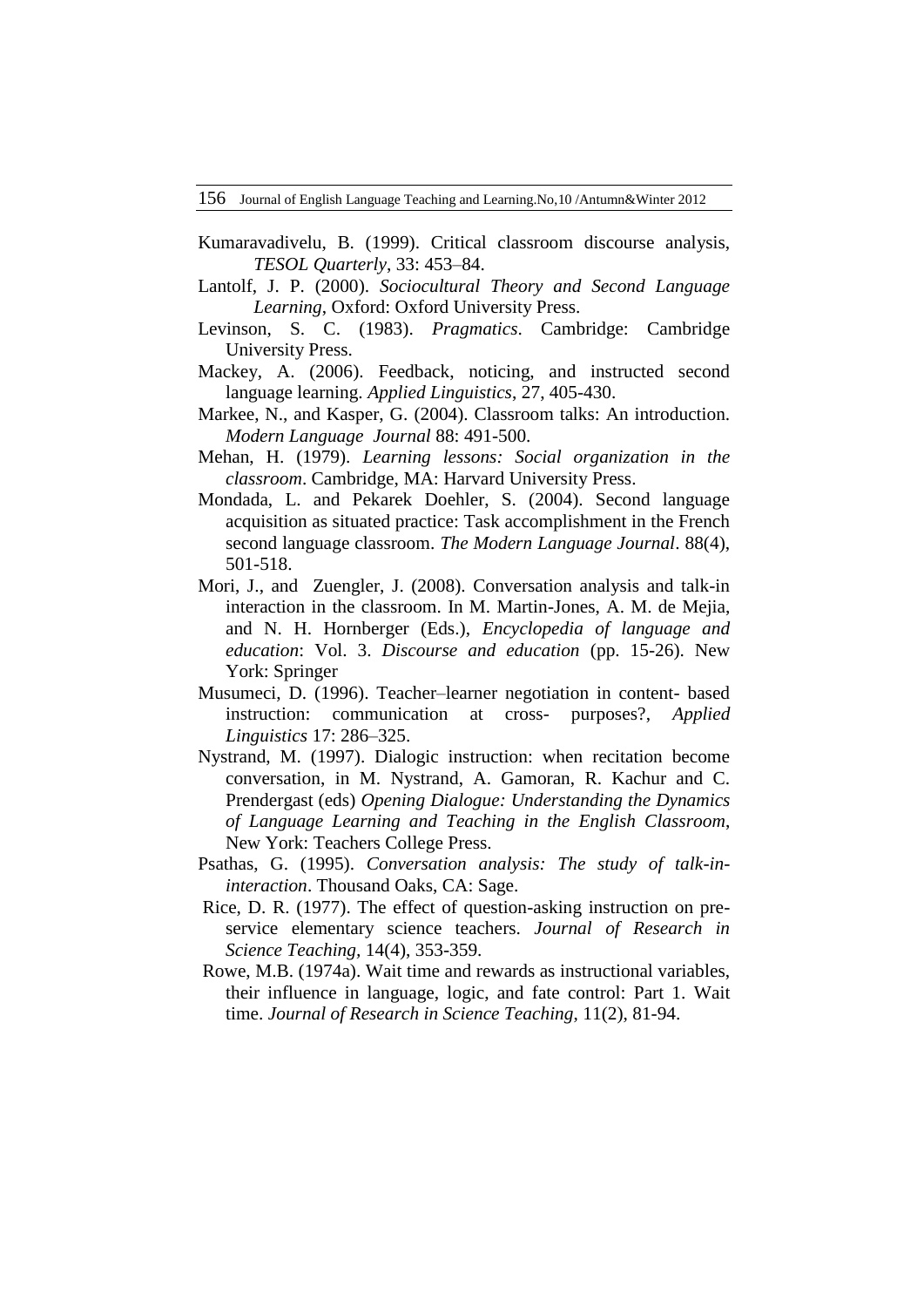156 Journal of English Language Teaching and Learning.No,10 /Antumn&Winter 2012

- Kumaravadivelu, B. (1999). Critical classroom discourse analysis, *TESOL Quarterly*, 33: 453–84.
- Lantolf, J. P. (2000). *Sociocultural Theory and Second Language Learning*, Oxford: Oxford University Press.
- Levinson, S. C. (1983). *Pragmatics*. Cambridge: Cambridge University Press.
- Mackey, A. (2006). Feedback, noticing, and instructed second language learning. *Applied Linguistics*, 27, 405-430.
- Markee, N., and Kasper, G. (2004). Classroom talks: An introduction. *Modern Language Journal* 88: 491-500.
- Mehan, H. (1979). *Learning lessons: Social organization in the classroom*. Cambridge, MA: Harvard University Press.
- Mondada, L. and Pekarek Doehler, S. (2004). Second language acquisition as situated practice: Task accomplishment in the French second language classroom. *The Modern Language Journal*. 88(4), 501-518.
- Mori, J., and Zuengler, J. (2008). Conversation analysis and talk-in interaction in the classroom. In M. Martin-Jones, A. M. de Mejia, and N. H. Hornberger (Eds.), *Encyclopedia of language and education*: Vol. 3. *Discourse and education* (pp. 15-26). New York: Springer
- Musumeci, D. (1996). Teacher–learner negotiation in content- based instruction: communication at cross- purposes?, *Applied Linguistics* 17: 286–325.
- Nystrand, M. (1997). Dialogic instruction: when recitation become conversation, in M. Nystrand, A. Gamoran, R. Kachur and C. Prendergast (eds) *Opening Dialogue: Understanding the Dynamics of Language Learning and Teaching in the English Classroom*, New York: Teachers College Press.
- Psathas, G. (1995). *Conversation analysis: The study of talk-ininteraction*. Thousand Oaks, CA: Sage.
- Rice, D. R. (1977). The effect of question-asking instruction on preservice elementary science teachers. *Journal of Research in Science Teaching,* 14(4), 353-359.
- Rowe, M.B. (1974a). Wait time and rewards as instructional variables, their influence in language, logic, and fate control: Part 1. Wait time. *Journal of Research in Science Teaching*, 11(2), 81-94.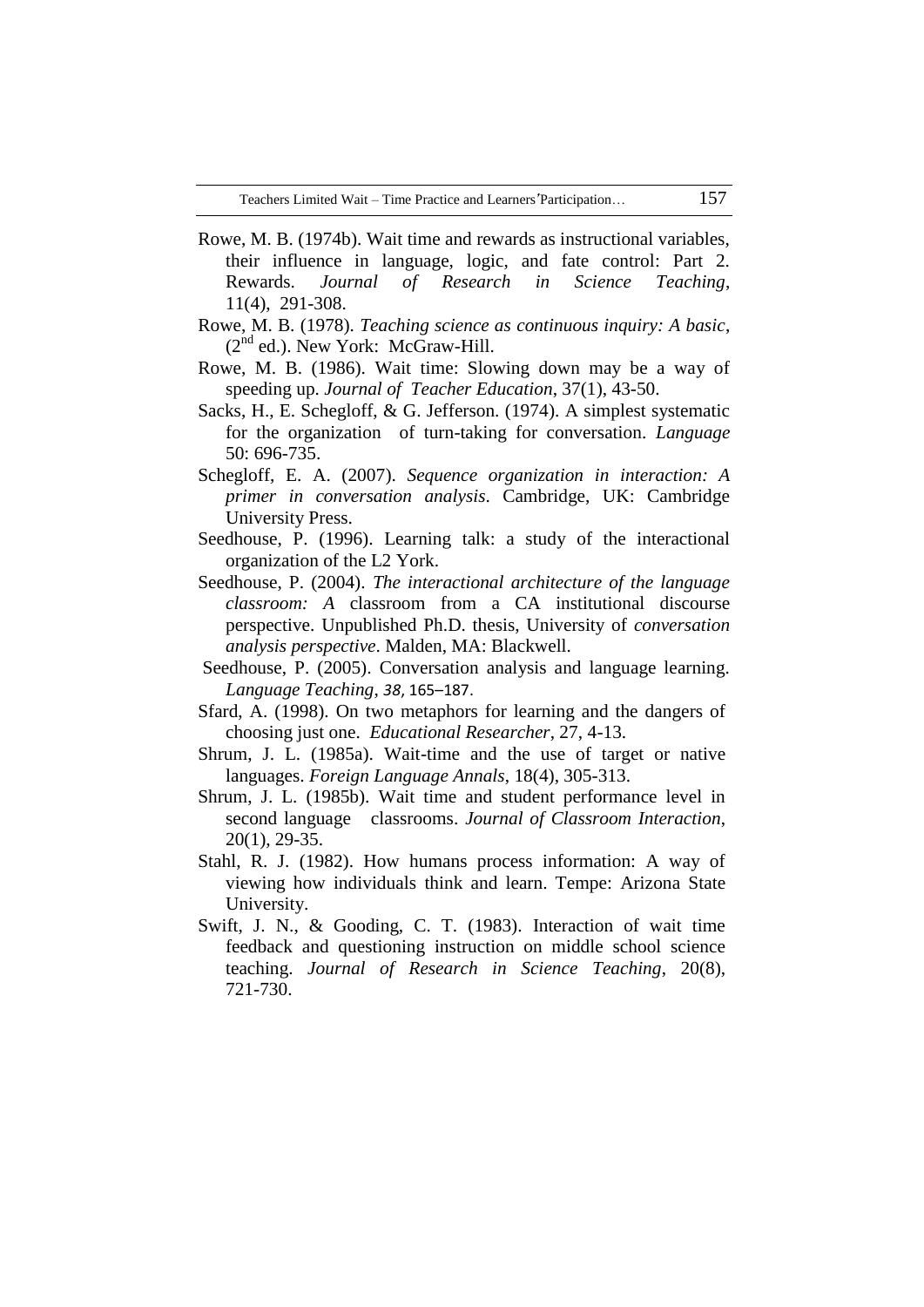- Rowe, M. B. (1974b). Wait time and rewards as instructional variables, their influence in language, logic, and fate control: Part 2. Rewards. *Journal of Research in Science Teaching*, 11(4), 291-308.
- Rowe, M. B. (1978). *Teaching science as continuous inquiry: A basic*,  $(2^{nd}$  ed.). New York: McGraw-Hill.
- Rowe, M. B. (1986). Wait time: Slowing down may be a way of speeding up. *Journal of Teacher Education*, 37(1), 43-50.
- Sacks, H., E. Schegloff, & G. Jefferson. (1974). A simplest systematic for the organization of turn-taking for conversation. *Language* 50: 696-735.
- Schegloff, E. A. (2007). *Sequence organization in interaction: A primer in conversation analysis*. Cambridge, UK: Cambridge University Press.
- Seedhouse, P. (1996). Learning talk: a study of the interactional organization of the L2 York.
- Seedhouse, P. (2004). *The interactional architecture of the language classroom: A* classroom from a CA institutional discourse perspective. Unpublished Ph.D. thesis, University of *conversation analysis perspective*. Malden, MA: Blackwell.
- Seedhouse, P. (2005). Conversation analysis and language learning. *Language Teaching*, *38*, 165–187.
- Sfard, A. (1998). On two metaphors for learning and the dangers of choosing just one. *Educational Researcher*, 27, 4-13.
- Shrum, J. L. (1985a). Wait-time and the use of target or native languages. *Foreign Language Annals*, 18(4), 305-313.
- Shrum, J. L. (1985b). Wait time and student performance level in second language classrooms. *Journal of Classroom Interaction*, 20(1), 29-35.
- Stahl, R. J. (1982). How humans process information: A way of viewing how individuals think and learn. Tempe: Arizona State University.
- Swift, J. N., & Gooding, C. T. (1983). Interaction of wait time feedback and questioning instruction on middle school science teaching. *Journal of Research in Science Teaching*, 20(8), 721-730.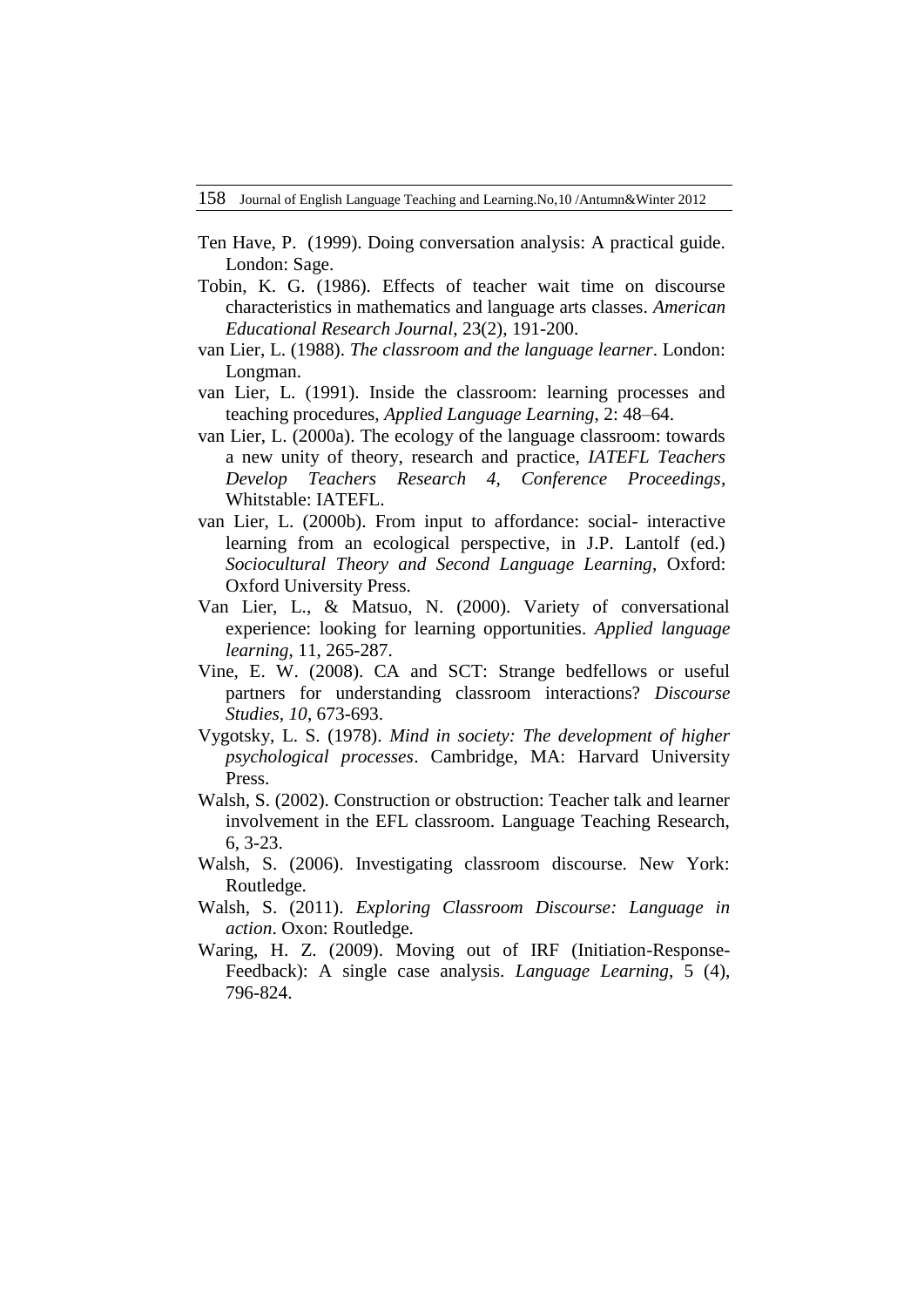- Ten Have, P. (1999). Doing conversation analysis: A practical guide. London: Sage.
- Tobin, K. G. (1986). Effects of teacher wait time on discourse characteristics in mathematics and language arts classes. *American Educational Research Journal*, 23(2), 191-200.
- van Lier, L. (1988). *The classroom and the language learner*. London: Longman.
- van Lier, L. (1991). Inside the classroom: learning processes and teaching procedures, *Applied Language Learning*, 2: 48–64.
- van Lier, L. (2000a). The ecology of the language classroom: towards a new unity of theory, research and practice, *IATEFL Teachers Develop Teachers Research 4, Conference Proceedings*, Whitstable: IATEFL.
- van Lier, L. (2000b). From input to affordance: social- interactive learning from an ecological perspective, in J.P. Lantolf (ed.) *Sociocultural Theory and Second Language Learning*, Oxford: Oxford University Press.
- Van Lier, L., & Matsuo, N. (2000). Variety of conversational experience: looking for learning opportunities. *Applied language learning*, 11, 265-287.
- Vine, E. W. (2008). CA and SCT: Strange bedfellows or useful partners for understanding classroom interactions? *Discourse Studies, 10*, 673-693.
- Vygotsky, L. S. (1978). *Mind in society: The development of higher psychological processes*. Cambridge, MA: Harvard University Press.
- Walsh, S. (2002). Construction or obstruction: Teacher talk and learner involvement in the EFL classroom. Language Teaching Research, 6, 3-23.
- Walsh, S. (2006). Investigating classroom discourse. New York: Routledge.
- Walsh, S. (2011). *Exploring Classroom Discourse: Language in action*. Oxon: Routledge.
- Waring, H. Z. (2009). Moving out of IRF (Initiation-Response-Feedback): A single case analysis. *Language Learning*, 5 (4), 796-824.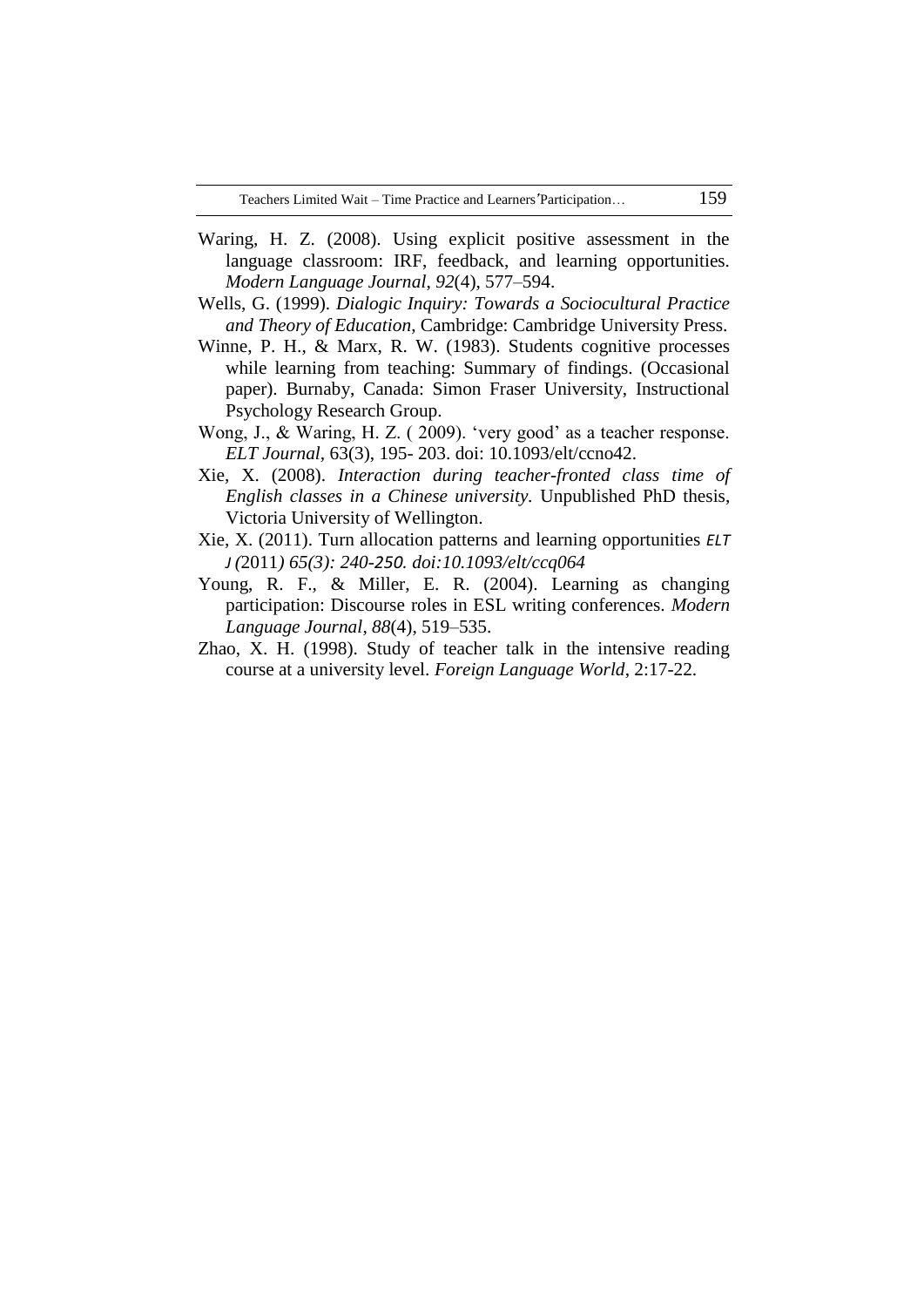- Waring, H. Z. (2008). Using explicit positive assessment in the language classroom: IRF, feedback, and learning opportunities. *Modern Language Journal*, *92*(4), 577–594.
- Wells, G. (1999). *Dialogic Inquiry: Towards a Sociocultural Practice and Theory of Education*, Cambridge: Cambridge University Press.
- Winne, P. H., & Marx, R. W. (1983). Students cognitive processes while learning from teaching: Summary of findings. (Occasional paper). Burnaby, Canada: Simon Fraser University, Instructional Psychology Research Group.
- Wong, J., & Waring, H. Z. ( 2009). 'very good' as a teacher response. *ELT Journal,* 63(3), 195- 203. doi: 10.1093/elt/ccno42.
- Xie, X. (2008). *Interaction during teacher-fronted class time of English classes in a Chinese university.* Unpublished PhD thesis, Victoria University of Wellington.
- Xie, X. (2011). Turn allocation patterns and learning opportunities *ELT J (*2011*) 65(3): 240-250. doi:10.1093/elt/ccq064*
- Young, R. F., & Miller, E. R. (2004). Learning as changing participation: Discourse roles in ESL writing conferences. *Modern Language Journal*, *88*(4), 519–535.
- Zhao, X. H. (1998). Study of teacher talk in the intensive reading course at a university level. *Foreign Language World*, 2:17-22.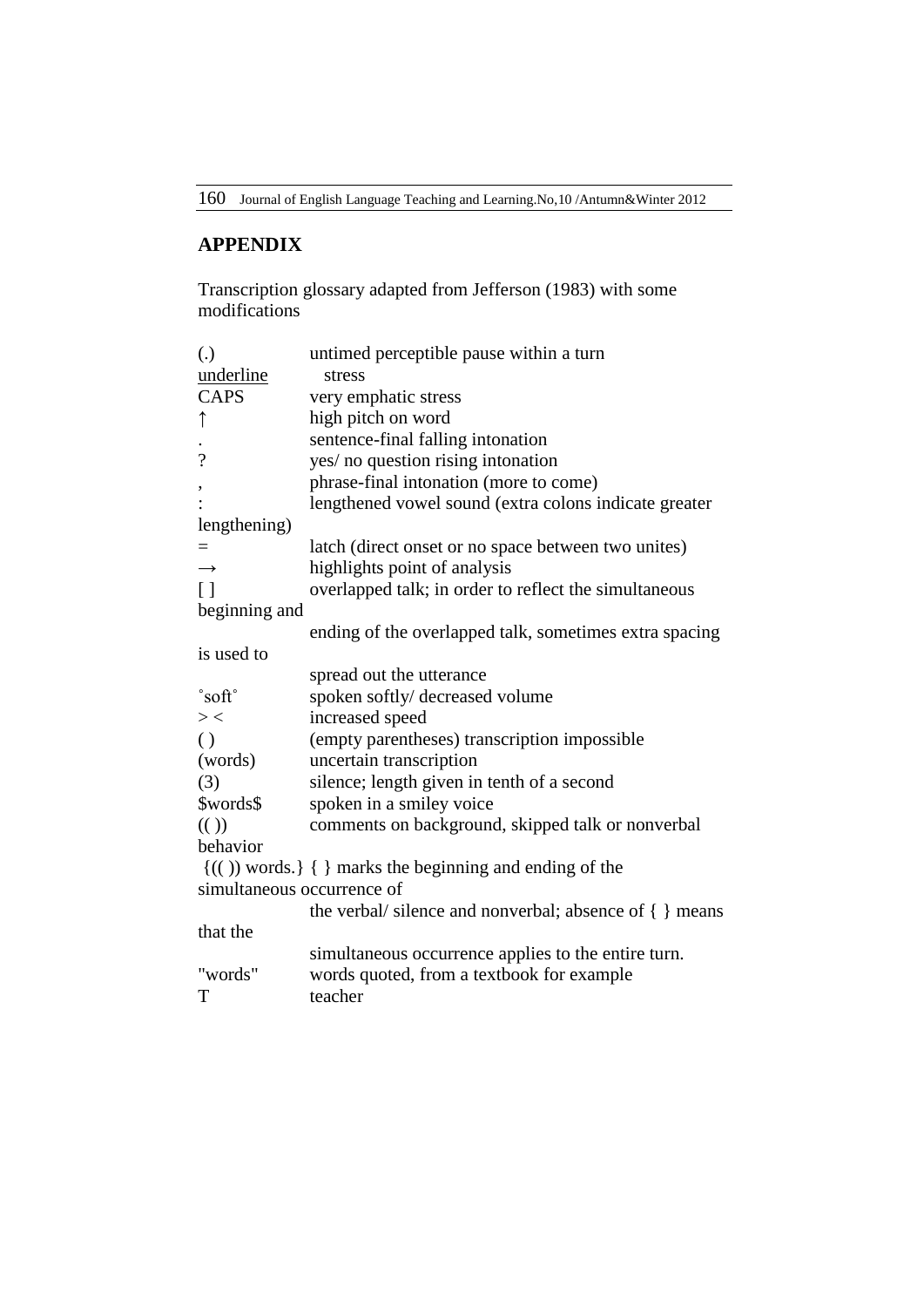160 Journal of English Language Teaching and Learning.No,10 /Antumn&Winter 2012

# **APPENDIX**

Transcription glossary adapted from Jefferson (1983) with some modifications

| $\left( .\right)$           | untimed perceptible pause within a turn                        |
|-----------------------------|----------------------------------------------------------------|
| underline                   | stress                                                         |
| CAPS                        | very emphatic stress                                           |
| ↑                           | high pitch on word                                             |
|                             | sentence-final falling intonation                              |
| $\overline{\mathcal{C}}$    | yes/ no question rising intonation                             |
| ,                           | phrase-final intonation (more to come)                         |
|                             | lengthened vowel sound (extra colons indicate greater          |
| lengthening)                |                                                                |
| $=$                         | latch (direct onset or no space between two unites)            |
| $\rightarrow$               | highlights point of analysis                                   |
| $\lceil$                    | overlapped talk; in order to reflect the simultaneous          |
| beginning and               |                                                                |
|                             | ending of the overlapped talk, sometimes extra spacing         |
| is used to                  |                                                                |
|                             | spread out the utterance                                       |
| $\degree$ soft $\degree$    | spoken softly/ decreased volume                                |
| $>$ <                       | increased speed                                                |
| $\left( \right)$            | (empty parentheses) transcription impossible                   |
| (words)                     | uncertain transcription                                        |
| (3)                         | silence; length given in tenth of a second                     |
| \$words\$                   | spoken in a smiley voice                                       |
| $\left(\binom{1}{2}\right)$ | comments on background, skipped talk or nonverbal              |
| behavior                    |                                                                |
|                             | $\{(())$ words.} $\{\}\$ marks the beginning and ending of the |
| simultaneous occurrence of  |                                                                |
|                             | the verbal/silence and nonverbal; absence of { } means         |
| that the                    |                                                                |
|                             | simultaneous occurrence applies to the entire turn.            |
| "words"                     | words quoted, from a textbook for example                      |
| T                           | teacher                                                        |
|                             |                                                                |